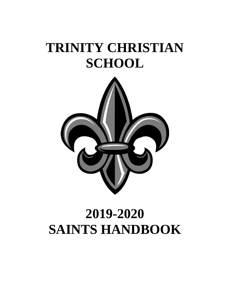# **TRINITY CHRISTIAN SCHOOL**



# **2019-2020 SAINTS HANDBOOK**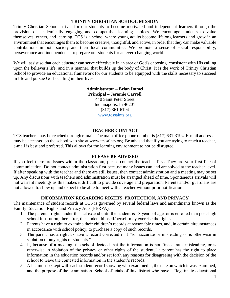#### **TRINITY CHRISTIAN SCHOOL MISSION**

Trinity Christian School strives for our students to become motivated and independent learners through the provision of academically engaging and competitive learning choices. We encourage students to value themselves, others, and learning. TCS is a school where young adults become lifelong learners and grow in an environment that encourages them to become creative, thoughtful, and active, in order that they can make valuable contributions in both society and their local communities. We promote a sense of social responsibility, perseverance and independence to prepare our students for an ever-changing world.

We will assist so that each educator can serve effectively in an area of God's choosing, consistent with His calling upon the believer's life, and in a manner, that builds up the body of Christ. It is the work of Trinity Christian School to provide an educational framework for our students to be equipped with the skills necessary to succeed in life and pursue God's calling in their lives.

> **Administrator – Brian Immel Principal – Jeramie Carroll** 440 Saint Peter Street Indianapolis, In 46201 (317) 361-6194 [www.tcssaints.org](http://www.tcssaints.org/)

#### **TEACHER CONTACT**

TCS teachers may be reached through e-mail. The main office phone number is (317) 631-3194. E-mail addresses may be accessed on the school web site at www.tcssaints.org. Be advised that if you are trying to reach a teacher, e-mail is best and preferred. This allows for the learning environment to not be disrupted.

#### **PLEASE BE ADVISED**

If you feel there are issues within the classroom, please contact the teacher first. They are your first line of communication. Do not contact administration first because many issues can and are solved at the teacher level. If after speaking with the teacher and there are still issues, then contact administration and a meeting may be set up. Any discussions with teachers and administration must be arranged ahead of time. Spontaneous arrivals will not warrant meetings as this makes it difficult to provide coverage and preparation. Parents and/or guardians are not allowed to show up and expect to be able to meet with a teacher without prior notification.

#### **INFORMATION REGARDING RIGHTS, PROTECTION, AND PRIVACY**

The maintenance of student records at TCS is governed by several federal laws and amendments known as the Family Education Rights and Privacy Acts (FERPA).

- 1. The parents' rights under this act extend until the student is 18 years of age, or is enrolled in a post-high school institution; thereafter, the student himself/herself may exercise the rights.
- 2. Parents have a right to examine their children's records at reasonable times, and, in certain circumstances in accordance with school policy, to purchase a copy of such records.
- 3. The parent has a right to have a record corrected if it "is inaccurate or misleading or is otherwise in violation of any rights of students."
- 4. If, because of a meeting, the school decided that the information is not "inaccurate, misleading, or is otherwise in violation of the privacy or other rights of the student," a parent has the right to place information in the education records and/or set forth any reasons for disagreeing with the decision of the school to leave the contested information in the student's records.
- 5. A list must be kept with each student record showing who examined it, the date on which it was examined, and the purpose of the examination. School officials of this district who have a "legitimate educational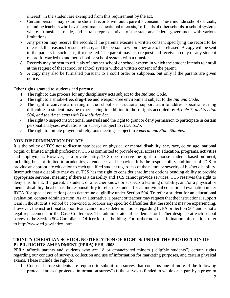interest" in the student are exempted from this requirement by the act.

- 6. Certain persons may examine student records without a parent's consent. These include school officials, including teachers who have "legitimate educational interests," officials of other schools or school systems where a transfer is made, and certain representatives of the state and federal government with various limitations.
- 7. Any person may receive the records if the parents execute a written consent specifying the record to be released, the reasons for such release, and the person to whom they are to be released. A copy will be sent to the parents in such case, if requested. The parent may also request and receive a copy of any student record forwarded to another school or school system with a transfer.
- 8. Records may be sent to officials of another school or school system in which the student intends to enroll at the request of that school or school system without written consent of the parent.
- 9. A copy may also be furnished pursuant to a court order or subpoena, but only if the parents are given notice.

Other rights granted to students and parents:

- 1. The right to due process for any disciplinary acts subject to the *Indiana Code*.
- 2. The right to a smoke-free, drug-free and weapon-free environment subject to the *Indiana Code*.
- 3. The right to convene a meeting of the school's instructional support team to address specific learning difficulties a student may be experiencing in addition to those rights accorded by *Article 7, and Section 504, and the Americans with Disabilities Act*.
- 4. The right to inspect instructional materials and the right to grant or deny permission to participate in certain personal analyses, evaluations, or surveys subject to *HEA 1625*.
- 5. The right to initiate prayer and religious meetings subject to *Federal and State Statutes*.

# **NON-DISCRIMINATION POLICY**

It is the policy of TCS not to discriminate based on physical or mental disability, sex, race, color, age, national origin, or limited English proficiency. TCS is committed to provide equal access to education, programs, activities and employment. However, as a private entity, TCS does reserve the right to choose students based on merit, including but not limited to academics, attendance, and behavior. It is the responsibility and intent of TCS to provide an appropriate education to each qualified student regardless of the nature or severity of his/her disability. Insomuch that a disability may exist, TCS has the right to consider enrollment options pending ability to provide appropriate services, meaning if there is a disability and TCS cannot provide services, TCS reserves the right to deny enrollment. If a parent, a student, or a teacher knows or suspects a learning disability, and/or a physical or mental disability, he/she has the responsibility to refer the student for an individual educational evaluation under IDEA (for special education) or to determine eligibility under Section 504. To refer a student for an educational evaluation, contact administration. As an alternative, a parent or teacher may request that the instructional support team in the student's school be convened to address any specific difficulties that the student may be experiencing. However, the instructional support team cannot make determinations regarding IDEA or Section 504 and is not a legal replacement for the Case Conference. The administrator of academics or his/her designee at each school serves as the Section 504 Compliance Officer for that building. For further non-discrimination information, refer to http://www.ed.gov/index.jhtml.

# **TRINITY CHRISTIAN SCHOOL NOTIFICATION OF RIGHTS: UNDER THE PROTECTION OF PUPIL RIGHTS AMENDMENT (PPRA) FEB, 2003**

PPRA affords parents and students who are 18 or emancipated minors ("eligible students") certain rights regarding our conduct of surveys, collection and use of information for marketing purposes, and certain physical exams. These include the right to:

1. Consent before students are required to submit to a survey that concerns one of more of the following protected areas ("protected information survey") if the survey is funded in whole or in part by a program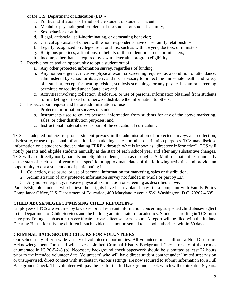of the U.S. Department of Education (ED) -

- a. Political affiliations or beliefs of the student or student's parent;
- b. Mental or psychological problems of the student or student's family;
- c. Sex behavior or attitudes;
- d. Illegal, antisocial, self-incriminating, or demeaning behavior;
- e. Critical appraisals of others with whom respondents have close family relationships;
- f. Legally recognized privileged relationships, such as with lawyers, doctors, or ministers;
- g. Religious practices, affiliations, or beliefs of the student or parents or ministers;
- h. Income, other than as required by law to determine program eligibility.
- 2. Receive notice and an opportunity to opt a student out of  $$ 
	- a. Any other protected information survey, regardless of funding;
	- b. Any non-emergency, invasive physical exam or screening required as a condition of attendance, administered by school or its agent, and not necessary to protect the immediate health and safety of a student, except for hearing, vision, scoliosis screenings, or any physical exam or screening permitted or required under State law; and
	- c. Activities involving collection, disclosure, or use of personal information obtained from students for marketing or to sell or otherwise distribute the information to others.
- 3. Inspect, upon request and before administration or use
	- a. Protected information surveys of students;
	- b. Instruments used to collect personal information from students for any of the above marketing, sales, or other distribution purposes; and
	- c. Instructional material used as part of the educational curriculum.

TCS has adopted policies to protect student privacy in the administration of protected surveys and collection, disclosure, or use of personal information for marketing, sales, or other distribution purposes. TCS may disclose information on a student without violating FERPA through what is known as "directory information". TCS will notify parents and eligible students annually at the start of each school year and after any substantive changes. TCS will also directly notify parents and eligible students, such as through U.S. Mail or email, at least annually at the start of each school year of the specific or approximate dates of the following activities and provide an opportunity to opt a student out of participating in:

- 1. Collection, disclosure, or use of personal information for marketing, sales or distribution.
- 2. Administration of any protected information survey not funded in whole or part by ED.
- 3. Any non-emergency, invasive physical examination or screening as described above.

Parents/Eligible students who believe their rights have been violated may file a complaint with Family Policy Compliance Office, U.S. Department of Education, 400 Maryland Avenue SW, Washington, D.C. 20202-4605

# **CHILD ABUSE/NEGLECT/MISSING CHILD REPORTING**

Employees of TCS are required by law to report all relevant information concerning suspected child abuse/neglect to the Department of Child Services and the building administrator of academics. Students enrolling in TCS must have proof of age such as a birth certificate, driver's license, or passport. A report will be filed with the Indiana Clearing House for missing children if such evidence is not presented to school authorities within 30 days.

# **CRIMINAL BACKGROUND CHECKS FOR VOLUNTEERS**

Our school may offer a wide variety of volunteer opportunities. All volunteers must fill out a Non-Disclosure Acknowledgement Form and will have a Limited Criminal History Background Check for any of the crimes enumerated in IC 20-5-2-8 (b). Necessary background check paperwork should be submitted at least 72 hours prior to the intended volunteer date. Volunteers' who will have direct student contact under limited supervision or unsupervised, direct contact with students in various settings, are now required to submit information for a Full Background Check. The volunteer will pay the fee for the full background check which will expire after 5 years.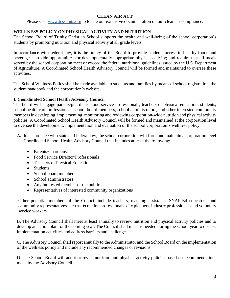# **CLEAN AIR ACT**

Please visit [www.tcssaints.org](http://www.tcssaints.org/) to locate our extensive documentation on our clean air compliance.

# **WELLNESS POLICY ON PHYSICAL ACTIVITY AND NUTRITION**

The School Board of Trinity Christian School supports the health and well-being of the school corporation's students by promoting nutrition and physical activity at all grade levels.

In accordance with federal law, it is the policy of the Board to provide students access to healthy foods and beverages; provide opportunities for developmentally appropriate physical activity; and require that all meals served by the school corporation meet or exceed the federal nutritional guidelines issued by the U.S. Department of Agriculture. A Coordinated School Health Advisory Council will be formed and maintained to oversee these activities.

The School Wellness Policy shall be made available to students and families by means of school registration, the student handbook and the corporation's website.

# **I. Coordinated School Health Advisory Council**

The board will engage parents/guardians, food service professionals, teachers of physical education, students, school health care professionals, school board members, school administrators, and other interested community members in developing, implementing, monitoring and reviewing corporation-wide nutrition and physical activity policies. A Coordinated School Health Advisory Council will be formed and maintained at the corporation level to oversee the development, implementation and evaluation of the school corporation's wellness policy.

- **A.** In accordance with state and federal law, the school corporation will form and maintain a corporation level Coordinated School Health Advisory Council that includes at least the following:
	- Parents/Guardians
	- Food Service Director/Professionals
	- Teachers of Physical Education
	- Students
	- School board members
	- School administrators
	- Any interested member of the public
	- Representatives of interested community organizations

Other potential members of the Council include teachers, teaching assistants, SNAP-Ed educators, and community representatives such as recreation professionals, city planners, industry professionals and voluntary service workers.

B. The Advisory Council shall meet at least annually to review nutrition and physical activity policies and to develop an action plan for the coming year. The Council shall meet as needed during the school year to discuss implementation activities and address barriers and challenges.

C. The Advisory Council shall report annually to the Administrator and the School Board on the implementation of the wellness policy and include any recommended changes or revisions.

D. The School Board will adopt or revise nutrition and physical activity policies based on recommendations made by the Advisory Council.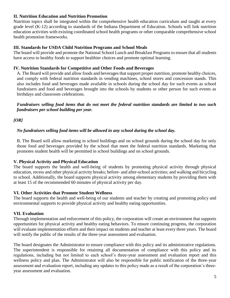## **II. Nutrition Education and Nutrition Promotion**

Nutrition topics shall be integrated within the comprehensive health education curriculum and taught at every grade level (K-12) according to standards of the Indiana Department of Education. Schools will link nutrition education activities with existing coordinated school health programs or other comparable comprehensive school health promotion frameworks.

## **III. Standards for USDA Child Nutrition Programs and School Meals**

The board will provide and promote the National School Lunch and Breakfast Programs to ensure that all students have access to healthy foods to support healthier choices and promote optimal learning.

## **IV. Nutrition Standards for Competitive and Other Foods and Beverages**

A. The Board will provide and allow foods and beverages that support proper nutrition, promote healthy choices, and comply with federal nutrition standards in vending machines, school stores and concession stands. This also includes food and beverages made available in schools during the school day for such events as school fundraisers and food and beverages brought into the schools by students or other person for such events as birthdays and classroom celebrations.

*Fundraisers selling food items that do not meet the federal nutrition standards are limited to two such fundraisers per school building per year.*

# *[OR]*

# *No fundraisers selling food items will be allowed in any school during the school day.*

B. The Board will allow marketing in school buildings and on school grounds during the school day for only those food and beverages provided by the school that meet the federal nutrition standards. Marketing that promotes student health will be permitted in school buildings and on school grounds.

## **V. Physical Activity and Physical Education**

The board supports the health and well-being of students by promoting physical activity through physical education, recess and other physical activity breaks; before- and after-school activities; and walking and bicycling to school. Additionally, the board supports physical activity among elementary students by providing them with at least 15 of the recommended 60 minutes of physical activity per day.

## **VI. Other Activities that Promote Student Wellness**

The board supports the health and well-being of our students and teacher by creating and promoting policy and environmental supports to provide physical activity and healthy eating opportunities.

## **VII. Evaluation**

Through implementation and enforcement of this policy, the corporation will create an environment that supports opportunities for physical activity and healthy eating behaviors. To ensure continuing progress, the corporation will evaluate implementation efforts and their impact on students and teacher at least every three years. The board will notify the public of the results of the three-year assessment and evaluation.

The board designates the Administrator to ensure compliance with this policy and its administrative regulations. The superintendent is responsible for retaining all documentation of compliance with this policy and its regulations, including but not limited to each school's three-year assessment and evaluation report and this wellness policy and plan. The Administrator will also be responsible for public notification of the three-year assessment and evaluation report, including any updates to this policy made as a result of the corporation's threeyear assessment and evaluation.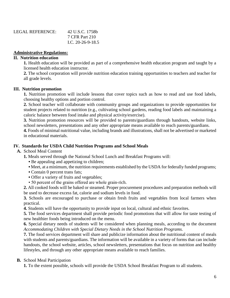| LEGAL REFERENCE: | 42 U.S.C. 1758b     |
|------------------|---------------------|
|                  | 7 CFR Part 210      |
|                  | I.C. $20-26-9-18.5$ |

## **Administrative Regulations:**

#### **II. Nutrition education**

**1.** Health education will be provided as part of a comprehensive health education program and taught by a licensed health education instructor.

**2.** The school corporation will provide nutrition education training opportunities to teachers and teacher for all grade levels.

#### **III. Nutrition promotion**

**1.** Nutrition promotion will include lessons that cover topics such as how to read and use food labels, choosing healthy options and portion control.

**2.** School teacher will collaborate with community groups and organizations to provide opportunities for student projects related to nutrition (e.g., cultivating school gardens, reading food labels and maintaining a caloric balance between food intake and physical activity/exercise).

**3.** Nutrition promotion resources will be provided to parents/guardians through handouts, website links, school newsletters, presentations and any other appropriate means available to reach parents/guardians.

**4.** Foods of minimal nutritional value, including brands and illustrations, shall not be advertised or marketed in educational materials.

#### **IV. Standards for USDA Child Nutrition Programs and School Meals**

### **A.** School Meal Content

**1.** Meals served through the National School Lunch and Breakfast Programs will:

- Be appealing and appetizing to children;
- Meet, at a minimum, the nutrition requirements established by the USDA for federally funded programs;
- Contain 0 percent trans fats;
- Offer a variety of fruits and vegetables;
- 50 percent of the grains offered are whole grain-rich.

**2.** All cooked foods will be baked or steamed. Proper procurement procedures and preparation methods will be used to decrease excess fat, calorie and sodium levels in food.

**3.** Schools are encouraged to purchase or obtain fresh fruits and vegetables from local farmers when practical.

**4.** Students will have the opportunity to provide input on local, cultural and ethnic favorites.

**5.** The food services department shall provide periodic food promotions that will allow for taste testing of new healthier foods being introduced on the menu.

**6.** Special dietary needs of students will be considered when planning meals, according to the document *Accommodating Children with Special Dietary Needs in the School Nutrition Programs.*

**7.** The food services department will share and publicize information about the nutritional content of meals with students and parents/guardians. The information will be available in a variety of forms that can include handouts, the school website, articles, school newsletters, presentations that focus on nutrition and healthy lifestyles, and through any other appropriate means available to reach families.

## **B.** School Meal Participation

**1.** To the extent possible, schools will provide the USDA School Breakfast Program to all students.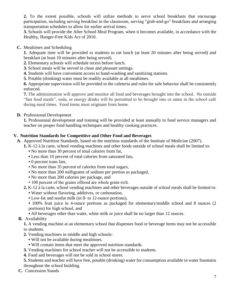**2.** To the extent possible, schools will utilize methods to serve school breakfasts that encourage participation, including serving breakfast in the classroom, serving "grab-and-go" breakfasts and arranging transportation schedules to allow for earlier arrival times.

**3.** Schools will provide the After School Meal Program, when it becomes available, in accordance with the Healthy, Hunger-Free Kids Act of 2010.

**C.** Mealtimes and Scheduling

**1.** Adequate time will be provided to students to eat lunch (at least 20 minutes after being served) and breakfast (at least 10 minutes after being served).

- **2.** Elementary schools will schedule recess before lunch.
- **3.** School meals will be served in clean and pleasant settings.
- **4.** Students will have convenient access to hand-washing and sanitizing stations.
- **5.** Potable (drinking) water must be readily available at all mealtimes.

**6.** Appropriate supervision will be provided in the cafeteria and rules for safe behavior shall be consistently enforced.

**7.** The administration will approve and monitor all food and beverages brought into the school. No outside "fast food meals", soda, or energy drinks will be permitted to be brought into or eaten in the school café during meal times. Food items must originate from home.

**D.** Professional Development

**1.** Professional development and training will be provided at least annually to food service managers and teacher on proper food handling techniques and healthy cooking practices.

# **V. Nutrition Standards for Competitive and Other Food and Beverages**

**A.** Approved Nutrition Standards, based on the nutrition standards of the Institute of Medicine (2007).

- **1.** K-12 à la carte, school vending machines and other foods outside of school meals shall be limited to:
	- No more than 30 percent of total calories from fat,
	- Less than 10 percent of total calories from saturated fats,
	- 0 percent trans fats,
	- No more than 35 percent of calories from total sugars,
	- No more than 200 milligrams of sodium per portion as packaged,
	- No more than 200 calories per package, and
	- 100 percent of the grains offered are whole grain-rich.
- **2.** K-12 à la carte, school vending machines and other beverages outside of school meals shall be limited to:
	- Water without flavoring, additives, or carbonation,
	- Low-fat and nonfat milk (in 8- to 12-ounce portions),
	- 100% fruit juice in 4-ounce portions as packaged for elementary/middle school and 8 ounces (2) portions) for high school, and
	- All beverages other than water, white milk or juice shall be no larger than 12 ounces.
- **B.** Availability

**1.** A vending machine at an elementary school that dispenses food or beverage items may not be accessible to students.

- **2.** Vending machines in middle and high schools:
	- Will not be available during mealtimes.
	- Will contain items that meet the approved nutrition standards.
- **3.** Vending machines for school teacher will not be accessible to students.
- **4.** Food and beverages will not be sold in school stores.

**5.** Students and teacher will have free, potable (drinking) water for consumption available in water fountains throughout the school building.

**C.** Concession Stands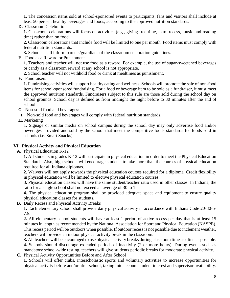**1.** The concession items sold at school-sponsored events to participants, fans and visitors shall include at least 50 percent healthy beverages and foods, according to the approved nutrition standards.

**D.** Classroom Celebrations

**1.** Classroom celebrations will focus on activities (e.g., giving free time, extra recess, music and reading time) rather than on food.

**2.** Classroom celebrations that include food will be limited to one per month. Food items must comply with federal nutrition standards.

**3.** Schools shall inform parents/guardians of the classroom celebration guidelines.

**E.** Food as a Reward or Punishment

**1.** Teachers and teacher will not use food as a reward. For example, the use of sugar-sweetened beverages or candy as a classroom reward at any school is not appropriate.

**2.** School teacher will not withhold food or drink at mealtimes as punishment.

**F.** Fundraisers

**1.** Fundraising activities will support healthy eating and wellness. Schools will promote the sale of non-food items for school-sponsored fundraising. For a food or beverage item to be sold as a fundraiser, it must meet the approved nutrition standards. Fundraisers subject to this rule are those sold during the school day on school grounds. School day is defined as from midnight the night before to 30 minutes after the end of school.

- **G.** Non-sold food and beverages:
- **1.** Non-sold food and beverages will comply with federal nutrition standards.
- **H.** Marketing

1. Signage or similar media on school campus during the school day may only advertise food and/or beverages provided and sold by the school that meet the competitive foods standards for foods sold in schools (i.e. Smart Snacks).

# **VI. Physical Activity and Physical Education**

**A.** Physical Education K-12

**1.** All students in grades K-12 will participate in physical education in order to meet the Physical Education Standards. Also, high schools will encourage students to take more than the courses of physical education required for all Indiana diplomas.

**2.** Waivers will not apply towards the physical education courses required for a diploma. Credit flexibility in physical education will be limited to elective physical education courses.

**3.** Physical education classes will have the same student/teacher ratio used in other classes. In Indiana, the ratio for a single school shall not exceed an average of 30 to 1.

**4.** The physical education program shall be provided adequate space and equipment to ensure quality physical education classes for students.

**B.** Daily Recess and Physical Activity Breaks

**1.** Each elementary school shall provide daily physical activity in accordance with Indiana Code 20-30-5- 7.5.

**2.** All elementary school students will have at least 1 period of active recess per day that is at least 15 minutes in length as recommended by the National Association for Sport and Physical Education (NASPE). This recess period will be outdoors when possible. If outdoor recess is not possible due to inclement weather, teachers will provide an indoor physical activity break in the classroom.

**3.** All teachers will be encouraged to use physical activity breaks during classroom time as often as possible. **4.** Schools should discourage extended periods of inactivity (2 or more hours). During events such as

mandatory school-wide testing, teachers will give students periodic breaks for moderate physical activity. **C.** Physical Activity Opportunities Before and After School

**1.** Schools will offer clubs, interscholastic sports and voluntary activities to increase opportunities for physical activity before and/or after school, taking into account student interest and supervisor availability.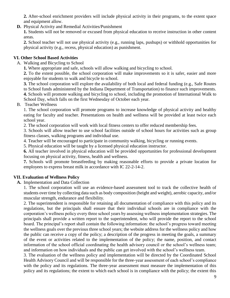**2.** After-school enrichment providers will include physical activity in their programs, to the extent space and equipment allow.

**D.** Physical Activity and Remedial Activities/Punishment

**1.** Students will not be removed or excused from physical education to receive instruction in other content areas.

**2.** School teacher will not use physical activity (e.g., running laps, pushups) or withhold opportunities for physical activity (e.g., recess, physical education) as punishment.

# **VI. Other School Based Activities**

A. Walking and Bicycling to School

**1.** Where appropriate and safe, schools will allow walking and bicycling to school.

**2.** To the extent possible, the school corporation will make improvements so it is safer, easier and more enjoyable for students to walk and bicycle to school.

**3.** The school corporation will explore the availability of both local and federal funding (e.g., Safe Routes to School funds administered by the Indiana Department of Transportation) to finance such improvements. **4.** Schools will promote walking and bicycling to school, including the promotion of International Walk to School Day, which falls on the first Wednesday of October each year.

B. Teacher Wellness

1. The school corporation will promote programs to increase knowledge of physical activity and healthy eating for faculty and teacher. Presentations on health and wellness will be provided at least twice each school year.

2. The school corporation will work with local fitness centers to offer reduced membership fees.

3. Schools will allow teacher to use school facilities outside of school hours for activities such as group fitness classes, walking programs and individual use.

4. Teacher will be encouraged to participate in community walking, bicycling or running events.

5. Physical education will be taught by a licensed physical education instructor.

**6.** All teacher involved in physical education will be provided opportunities for professional development focusing on physical activity, fitness, health and wellness.

**7.** Schools will promote breastfeeding by making reasonable efforts to provide a private location for employees to express breast milk in accordance with IC 22-2-14-2.

# **VII. Evaluation of Wellness Policy**

**A.** Implementation and Data Collection

1. The school corporation will use an evidence-based assessment tool to track the collective health of students over time by collecting data such as body composition (height and weight), aerobic capacity, and/or muscular strength, endurance and flexibility.

2. The superintendent is responsible for retaining all documentation of compliance with this policy and its regulations, but the principals shall ensure that their individual schools are in compliance with the corporation's wellness policy every three school years by assessing wellness implementation strategies. The principals shall provide a written report to the superintendent, who will provide the report to the school board. The principal's report shall contain the following information: the school's progress toward meeting the wellness goals over the previous three school years; the website address for the wellness policy and how the public can receive a copy of the policy; a description of the progress in meeting the goals, a summary of the event or activities related to the implementation of the policy; the name, position, and contact information of the school official coordinating the health advisory council or the school's wellness team; and information on how individuals and the public can get involved with the school's wellness team.

3. The evaluation of the wellness policy and implementation will be directed by the Coordinated School Health Advisory Council and will be responsible for the three-year assessment of each school's compliance with the policy and its regulations. The three-year assessment must measure the implementation of this policy and its regulations; the extent to which each school is in compliance with the policy; the extent this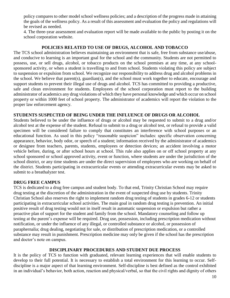policy compares to other model school wellness policies; and a description of the progress made in attaining the goals of the wellness policy. As a result of this assessment and evaluation the policy and regulations will be revised as needed.

4. The three-year assessment and evaluation report will be made available to the public by posting it on the school corporation website.

## **POLICIES RELATED TO USE OF DRUGS, ALCOHOL AND TOBACCO**

The TCS school administration believes maintaining an environment that is safe, free from substance use/abuse, and conducive to learning is an important goal for the school and the community. Students are not permitted to possess, use, or sell drugs, alcohol, or tobacco products on the school premises at any time, at any schoolsponsored activity, or when a student is travelling to and from school. Students violating this policy are subject to suspension or expulsion from school. We recognize our responsibility to address drug and alcohol problems in the school. We believe that parent(s), guardian(s), and the school must work together to educate, encourage and support students to prevent their illegal use of drugs and alcohol. TCS has committed to providing a productive, safe and clean environment for students. Employees of the school corporation must report to the building administrator of academics any drug violations of which they have personal knowledge and which occur on school property or within 1000 feet of school property. The administrator of academics will report the violation to the proper law enforcement agency.

## **STUDENTS SUSPECTED OF BEING UNDER THE INFLUENCE OF DRUGS OR ALCOHOL**

Students believed to be under the influence of drugs or alcohol may be requested to submit to a drug and/or alcohol test at the expense of the student. Refusal to submit to a drug or alcohol test, or refusal to provide a valid specimen will be considered failure to comply that constitutes an interference with school purposes or an educational function. As used in this policy "reasonable suspicion" includes: specific observation concerning appearance, behavior, body odor, or speech of a student; information received by the administrator of academics or designee from teachers, parents, students, employees or detection devices; an accident involving a motor vehicle before, during, or after school hours at school. This rule also applies on or off school property at any school sponsored or school approved activity, event or function, where students are under the jurisdiction of the school district, or any time students are under the direct supervision of employees who are working on behalf of the district. Students participating in extracurricular events or attending extracurricular events may be asked to submit to a breathalyzer test.

# **DRUG FREE CAMPUS**

TCS is dedicated to a drug free campus and student body. To that end, Trinity Christian School may require drug testing at the discretion of the administration in the event of suspected drug use by students. Trinity Christian School also reserves the right to implement random drug testing of students in grades 6-12 or students participating in extracurricular school activities. The main goal in random drug testing is prevention. An initial positive result of drug testing would not in itself result in automatic suspension or expulsion but rather a proactive plan of support for the student and family from the school. Mandatory counseling and follow up testing at the parent's expense will be required. Drug use, possession, including prescription medication without notification, or under the influence of any illegal, or controlled substance or alcohol, or possession of paraphernalia; drug dealing, negotiating for sale, or distribution of prescription medication, or a controlled substance may result in punishment. Prescription medicine may only be given if the school has the prescription and doctor's note on campus.

## **DISCIPLINARY PROCEDURES AND STUDENT DUE PROCESS**

It is the policy of TCS to function with graduated, relevant learning experiences that will enable students to develop to their full potential. It is necessary to establish a total environment for this learning to occur. Selfdiscipline is a major aspect of that learning environment. Self-discipline is best defined as the control exhibited in an individual's behavior, both action, reaction and physical/verbal, so that the civil rights and dignity of others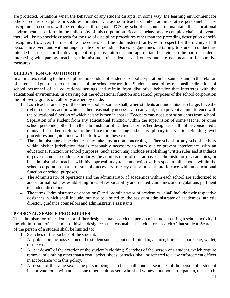are protected. Situations when the behavior of any student disrupts, in some way, the learning environment for others, require discipline procedures initiated by classroom teachers and/or administrative personnel. These discipline procedures will be employed throughout TCS by school personnel to maintain the educational environment as set forth in the philosophy of this corporation. Because behaviors are complex chains of events, there will be no specific criteria for the use of discipline procedures other than the preceding description of selfdiscipline. However, the discipline procedures shall be administered fairly, with respect for the dignity of all persons involved, and without anger, malice or prejudice. Rules or guidelines pertaining to student conduct are intended as a basis for the development of positive attitudes and appropriate behavior on the part of students interacting with parents, teachers, administrator of academics and others and are not meant to be punitive measures.

# **DELEGATION OF AUTHORITY**

In all matters relating to the discipline and conduct of students, school corporation personnel stand in the relation of parents and guardians to the students of the school corporation. Students must follow responsible directions of school personnel of all educational settings and refrain from disruptive behavior that interferes with the educational environment. In carrying out the educational function and school purposes of the school corporation the following grants of authority are hereby made:

- 1. Each teacher and any of the other school personnel shall, when students are under his/her charge, have the right to take any action which is then reasonably necessary to carry out, or to prevent an interference with the educational function of which he/she is then in charge. Teachers may not suspend students from school. Separation of a student from any educational function within the supervision of some teacher or other school personnel, other than the administrator of academics or his/her designee, shall not be considered a removal but rather a referral to the office for counseling and/or disciplinary intervention. Building-level procedures and guidelines will be followed in these cases.
- 2. The administrator of academics may take any action concerning his/her school or any school activity within his/her jurisdiction that is reasonably necessary to carry out or prevent interference with an educational function or school purposes. Such action may include establishing written rules and standards to govern student conduct. Similarly, the administrator of operations, or administrator of academics, or his administrative teacher with his approval, may take any action with respect to all schools within the school corporation that is reasonably necessary to carry out or prevent interference with an educational function or school purposes.
- 3. The administrator of operations and the administrator of academics within each school are authorized to adopt formal policies establishing lines of responsibility and related guidelines and regulations pertinent to student discipline.
- 4. The terms "administrator of operations" and "administrator of academics" shall include their respective designees, which shall include, but not be limited to, the assistant administrator of academics, athletic director, guidance counselors and administrative assistants.

# **PERSONAL SEARCH PROCEDURES**

The administrator of academics or his/her designee may search the person of a student during a school activity if the administrator of academics or his/her designee has a reasonable suspicion for a search of that student. Searches of the person of a student shall be limited to:

- 1. Searches of the pockets of the student.
- 2. Any object in the possession of the student such as, but not limited to, a purse, briefcase, book bag, wallet, music case.
- 3. A "pat down" of the exterior of the student's clothing. Searches of the person of a student, which require removal of clothing other than a coat, jacket, shoes, or socks, shall be referred to a law enforcement officer in accordance with this policy.
- 4. A person of the same sex as the person being searched shall conduct searches of the person of a student in a private room with at least one other adult present who shall witness, but not participate in, the search.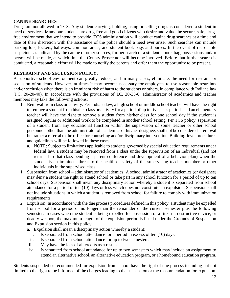## **CANINE SEARCHES**

Drugs are not allowed in TCS. Any student carrying, holding, using or selling drugs is considered a student in need of services. Many our students are drug-free and good citizens who desire and value the secure, safe, drugfree environment that we intend to provide. TCS administration will conduct canine drug searches at a time and date of their discretion with the assistance of the police should a need ever arise. Such searches can include parking lots, lockers, hallways, common areas, and student book bags and purses. In the event of reasonable suspicions as indicated by the canine or other sources, further search of a student's book bag, possessions and/or person will be made, at which time the County Prosecutor will become involved. Before that further search is conducted, a reasonable effort will be made to notify the parents and offer them the opportunity to be present.

# **RESTRAINT AND SECLUSION POLICY:**

A supportive school environment can greatly reduce, and in many cases, eliminate, the need for restraint or seclusion of students. However, at times it may become necessary for employees to use reasonable restraints and/or seclusion when there is an imminent risk of harm to the students or others, in compliance with Indiana law (I.C. 20-20-40). In accordance with the provisions of I.C. 20-33-8, administrator of academics and teacher members may take the following actions:

- 1. Removal from class or activity: Per Indiana law, a high school or middle school teacher will have the right to remove a student from his/her class or activity for a period of up to five class periods and an elementary teacher will have the right to remove a student from his/her class for one school day if the student is assigned regular or additional work to be completed in another school setting. Per TCS policy, separation of a student from any educational function within the supervision of some teacher or other school personnel, other than the administrator of academics or his/her designee, shall not be considered a removal but rather a referral to the office for counseling and/or disciplinary intervention. Building-level procedures and guidelines will be followed in these cases.
	- a. NOTE: Subject to limitations applicable to students governed by special education requirements under federal law, a student may be removed from a class under the supervision of an individual (and not returned to that class pending a parent conference and development of a behavior plan) when the student is an imminent threat to the health or safety of the supervising teacher member or other individuals in the supervised class.
- 1. Suspension from school administrator of academics: A school administrator of academics (or designee) may deny a student the right to attend school or take part in any school function for a period of up to ten school days. Suspension shall mean any disciplinary action whereby a student is separated from school attendance for a period of ten (10) days or less which does not constitute an expulsion. Suspension shall not include situations in which a student is removed from school for failure to comply with immunization requirements.
- 2. Expulsion: In accordance with the due process procedures defined in this policy, a student may be expelled from school for a period of no longer than the remainder of the current semester plus the following semester. In cases when the student is being expelled for possession of a firearm, destructive device, or deadly weapon, the maximum length of the expulsion period is listed under the Grounds of Suspension and Expulsion section in this policy.
	- a. Expulsion shall mean a disciplinary action whereby a student:
		- i. Is separated from school attendance for a period in excess of ten (10) days.
		- ii. Is separated from school attendance for up to two semesters.
	- iii. May have the loss of all credits as a result.
	- iv. Is separated from school attendance for up to two semesters which may include an assignment to attend an alternative school, an alternative education program, or a homebound education program.

Students suspended or recommended for expulsion from school have the right of due process including but not limited to the right to be informed of the charges leading to the suspension or the recommendation for expulsion.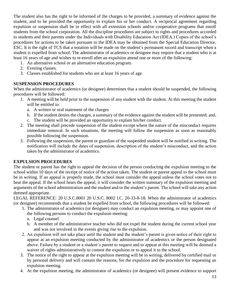The student also has the right to be informed of the charges to be provided, a summary of evidence against the student, and to be provided the opportunity to explain his or her conduct. A reciprocal agreement regarding expulsion or suspension shall be in effect with all extension schools and/or cooperative programs that enroll students from the school corporation. All the discipline procedures are subject to rights and procedures accorded to students and their parents under the Individuals with Disability Education Act (IDEA.) Copies of the school's procedures for actions to be taken pursuant to the IDEA may be obtained from the Special Education Director, ESC. It is the right of TCS that a notation will be made on the student's permanent record and transcript when a student is expelled from school. The administrator of academics or designee may require that a student who is at least 16 years of age and wishes to re-enroll after an expulsion attend one or more of the following:

- 1. An alternative school or an alternative education program.
- 2. Evening classes.
- 3. Classes established for students who are at least 16 years of age.

# **SUSPENSION PROCEDURES**

When the administrator of academics (or designee) determines that a student should be suspended, the following procedures will be followed:

- 1. A meeting will be held prior to the suspension of any student with the student. At this meeting the student will be entitled to:
	- a. A written or oral statement of the charges
	- b. If the student denies the charges, a summary of the evidence against the student will be presented; and,
	- c. The student will be provided an opportunity to explain his/her conduct.
- 2. The meeting shall precede suspension of the student except where the nature of the misconduct requires immediate removal. In such situations, the meeting will follow the suspension as soon as reasonably possible following the suspension.
- 3. Following the suspension, the parent or guardian of the suspended student will be notified in writing. The notification will include the dates of suspension, description of the student's misconduct, and the action taken by the administrator of academics.

# **EXPULSION PROCEDURES**

The student or parent has the right to appeal the decision of the person conducting the expulsion meeting to the school within 10 days of the receipt of notice of the action taken. The student or parent appeal to the school must be in writing. If an appeal is properly made, the school must consider the appeal unless the school votes not to hear the appeal. If the school hears the appeal, it will consider the written summary of the expulsion meeting and arguments of the school administration and the student and/or the student's parent. The school will take any action deemed appropriate.

LEGAL REFERENCE: 20 U.S.C.8001 20 U.S.C. 8002 I.C. 20-33-8-18. When the administrator of academics (or designee) recommends that a student be expelled from school, the following procedures will be followed:

- 1. The administrator of academics (or designee) may conduct an expulsion meeting, or may appoint one of the following persons to conduct the expulsion meeting:
	- a. Legal counsel
	- b. A member of the administrative teacher who did not expel the student during the current school year and was not involved in the events giving rise to the expulsion.
- 2. An expulsion will not take place until the student and the student's parent is given notice of their right to appear at an expulsion meeting conducted by the administrator of academics or the person designated above. Failure by a student or a student's parent to request and to appear at this meeting will be deemed a waiver of rights administratively to contest the expulsion or to appeal it to the school.
- 3. The notice of the right to appear at the expulsion meeting will be in writing, delivered by certified mail or by personal delivery and will contain the reasons, for the expulsion and the procedure for requesting an expulsion meeting.
- 4. At the expulsion meeting, the administrator of academics (or designee) will present evidence to support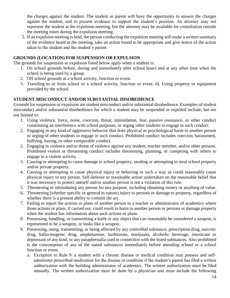the charges against the student. The student or parent will have the opportunity to answer the charges against the student, and to present evidence to support the student's position. An attorney may not represent the student at the expulsion meeting, but the attorney may be available for consultation outside the meeting room during the expulsion meeting.

5. If an expulsion meeting is held, the person conducting the expulsion meeting will make a written summary of the evidence heard at the meeting, take an action found to be appropriate and give notice of the action taken to the student and the student's parent.

# **GROUNDS (LOCATION) FOR SUSPENSION OR EXPULSION**

The grounds for suspension or expulsion listed below apply when a student is:

- 1. On school grounds before, during and immediately after school hours and at any other time when the school is being used by a group.
- 2. Off school grounds at a school activity, function or event.
- 3. Traveling to or from school or a school activity, function or event. d). Using property or equipment provided by the school.

# **STUDENT MISCONDUCT AND/OR SUBSTANTIAL DISOBEDIENCE**

Grounds for suspension or expulsion are student misconduct and/or substantial disobedience. Examples of student misconduct and/or substantial disobedience for which a student may be suspended or expelled include, but are not limited to:

- 1. Using violence, force, noise, coercion, threat, intimidation, fear, passive resistance, or other conduct constituting an interference with school purposes, or urging other students to engage in such conduct.
- 2. Engaging in any kind of aggressive behavior that does physical or psychological harm to another person or urging of other students to engage in such conduct. Prohibited conduct includes coercion, harassment, bullying, hazing, or other comparable conduct.
- 2. Engaging in violence and/or threat of violence against any student, teacher member, and/or other persons. Prohibited violent or threatening conduct includes threatening, planning, or conspiring with others to engage in a violent activity.
- 3. Causing or attempting to cause damage to school property, stealing or attempting to steal school property and/or private property.
- 4. Causing or attempting to cause physical injury or behaving in such a way as could reasonably cause physical injury to any person. Self‑defense or reasonable action undertaken on the reasonable belief that it was necessary to protect oneself and/or another person is not a violation of this rule.
- 5. Threatening or intimidating any person for any purpose, including obtaining money or anything of value.
- 6. Threatening (whether specific or general in nature) injury to persons or damage to property, regardless of whether there is a present ability to commit the act.
- 7. Failing to report the actions or plans of another person to a teacher or administrator of academics where those actions or plans, if carried out, could result in harm to another person or persons or damage property when the student has information about such actions or plans.
- 8. Possessing, handling, or transmitting a knife or any object that can reasonably be considered a weapon, is represented to be a weapon, or looks like a weapon.
- 9. Possessing, using, transmitting, or being affected by any controlled substance, prescription drug, narcotic drug, hallucinogenic drug, amphetamine, barbiturate, marijuana, alcoholic beverage, intoxicant or depressant of any kind, or any paraphernalia used in connection with the listed substances. Also prohibited is the consumption of any of the stated substances immediately before attending school or a school function or event.
	- a. Exception to Rule 9: a student with a chronic disease or medical condition may possess and selfadminister prescribed medication for the disease or condition if the student's parent has filed a written authorization with the building administrator of academics. The written authorization must be filed annually. The written authorization must be done by a physician and must include the following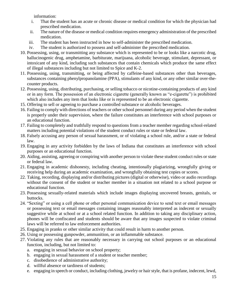information:

- i. That the student has an acute or chronic disease or medical condition for which the physician had prescribed medication.
- ii. The nature of the disease or medical condition requires emergency administration of the prescribed medication.
- iii. The student has been instructed in how to self-administer the prescribed medication.
- iv. The student is authorized to possess and self-administer the prescribed medication.
- 10. Possessing, using, or transmitting any substance which is represented to be or looks like a narcotic drug, hallucinogenic drug, amphetamine, barbiturate, marijuana, alcoholic beverage, stimulant, depressant, or intoxicant of any kind, including such substances that contain chemicals which produce the same effect of illegal substances including but not limited to Spice and K-2.
- 11. Possessing, using, transmitting, or being affected by caffeine‑based substances other than beverages, substances containing phenylpropanolamine (PPA), stimulants of any kind, or any other similar over-thecounter products.
- 12. Possessing, using, distributing, purchasing, or selling tobacco or nicotine-containing products of any kind or in any form. The possession of an electronic cigarette (generally known as "e-cigarette") is prohibited which also includes any item that looks like or is represented to be an electronic cigarette.
- 15. Offering to sell or agreeing to purchase a controlled substance or alcoholic beverages.
- 16. Failing to comply with directions of teachers or other school personnel during any period when the student is properly under their supervision, where the failure constitutes an interference with school purposes or an educational function.
- 17. Failing to completely and truthfully respond to questions from a teacher member regarding school-related matters including potential violations of the student conduct rules or state or federal law.
- 18. Falsely accusing any person of sexual harassment, or of violating a school rule, and/or a state or federal law.
- 19. Engaging in any activity forbidden by the laws of Indiana that constitutes an interference with school purposes or an educational function.
- 20. Aiding, assisting, agreeing or conspiring with another person to violate these student conduct rules or state or federal law.
- 21. Engaging in academic dishonesty, including cheating, intentionally plagiarizing, wrongfully giving or receiving help during an academic examination, and wrongfully obtaining test copies or scores.
- 22. Taking, recording, displaying and/or distributing pictures (digital or otherwise), video or audio recordings without the consent of the student or teacher member in a situation not related to a school purpose or educational function.
- 23. Possessing sexually-related materials which include images displaying uncovered breasts, genitals, or buttocks.
- 24. "Sexting" or using a cell phone or other personal communication device to send text or email messages or possessing text or email messages containing images reasonably interpreted as indecent or sexually suggestive while at school or at a school related function. In addition to taking any disciplinary action, phones will be confiscated and students should be aware that any images suspected to violate criminal laws will be referred to law enforcement authorities.
- 25. Engaging in pranks or other similar activity that could result in harm to another person.
- 26. Using or possessing gunpowder, ammunition, or an inflammable substance.
- 27. Violating any rules that are reasonably necessary in carrying out school purposes or an educational function, including, but not limited to:
	- a. engaging in sexual behavior on school property;
	- b. engaging in sexual harassment of a student or teacher member;
	- c. disobedience of administrative authority;
	- d. willful absence or tardiness of students;
	- e. engaging in speech or conduct, including clothing, jewelry or hair style, that is profane, indecent, lewd,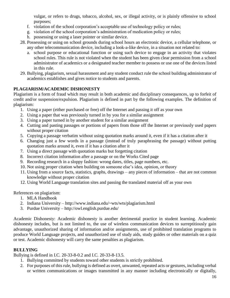vulgar, or refers to drugs, tobacco, alcohol, sex, or illegal activity, or is plainly offensive to school purposes;

- f. violation of the school corporation's acceptable use of technology policy or rules;
- g. violation of the school corporation's administration of medication policy or rules;
- h. possessing or using a laser pointer or similar device.
- 28. Possessing or using on school grounds during school hours an electronic device, a cellular telephone, or any other telecommunication device, including a look-a-like device, in a situation not related to:
	- a. school purpose or educational function or using such device to engage in an activity that violates school rules. This rule is not violated when the student has been given clear permission from a school administrator of academics or a designated teacher member to possess or use one of the devices listed in this rule.
- 29. Bullying, plagiarism, sexual harassment and any student conduct rule the school building administrator of academics establishes and gives notice to students and parents.

# **PLAGIARISM/ACADEMIC DISHONESTY**

Plagiarism is a form of fraud which may result in both academic and disciplinary consequences, up to forfeit of credit and/or suspension/expulsion. Plagiarism is defined in part by the following examples. The definition of plagiarism:

- 1. Using a paper (either purchased or free) off the Internet and passing it off as your own
- 2. Using a paper that was previously turned in by you for a similar assignment
- 3. Using a paper turned in by another student for a similar assignment
- 4. Cutting and pasting passages or portions of papers from those off the Internet or previously used papers without proper citation
- 5. Copying a passage verbatim without using quotation marks around it, even if it has a citation after it
- 6. Changing just a few words in a passage (instead of truly paraphrasing the passage) without putting quotation marks around it, even if it has a citation after it
- 7. Using a direct passage with quotation marks but forgetting citation
- 8. Incorrect citation information after a passage or on the Works Cited page
- 9. Recording research in a sloppy fashion: wrong dates, titles, page numbers, etc.
- 10. Not using proper citation when building on someone else's idea, opinion, or theory
- 11. Using from a source facts, statistics, graphs, drawings any pieces of information that are not common knowledge without proper citation
- 12. Using World Language translation sites and passing the translated material off as your own

# References on plagiarism:

- 1. MLA Handbook
- 2. Indiana University http://www.indiana.edu/~wts/wts/plagiarism.html
- 3. Purdue University http://owl.english.purdue.edu/

Academic Dishonesty: Academic dishonesty is another detrimental practice in student learning. Academic dishonesty includes, but is not limited to, the use of wireless communication devices to surreptitiously gain advantage, unauthorized sharing of information and/or assignments, use of prohibited translation programs to produce World Language projects, and unauthorized use of study aids, study guides or other materials on a quiz or test. Academic dishonesty will carry the same penalties as plagiarism.

# **BULLYING**

Bullying is defined in I.C. 20-33-8-0.2 and I.C. 20-33-8-13.5.

- 1. Bullying committed by students toward other students is strictly prohibited.
- 2. For purposes of this rule, bullying is defined as overt, unwanted, repeated acts or gestures, including verbal or written communications or images transmitted in any manner including electronically or digitally,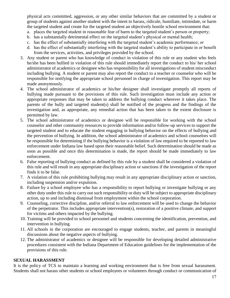physical acts committed, aggression, or any other similar behaviors that are committed by a student or group of students against another student with the intent to harass, ridicule, humiliate, intimidate, or harm the targeted student and create for the targeted student an objectively hostile school environment that:

- a. places the targeted student in reasonable fear of harm to the targeted student's person or property;
- b. has a substantially detrimental effect on the targeted student's physical or mental health;
- c. has the effect of substantially interfering with the targeted student's academic performance; or
- d. has the effect of substantially interfering with the targeted student's ability to participate in or benefit from the services, activities, and privileges provided by the school.
- 3. Any student or parent who has knowledge of conduct in violation of this rule or any student who feels he/she has been bullied in violation of this rule should immediately report the conduct to his/ her school administrator of academics or designee who has responsibility for all investigations of student misconduct including bullying. A student or parent may also report the conduct to a teacher or counselor who will be responsible for notifying the appropriate school personnel in charge of investigation. This report may be made anonymously.
- 4. The school administrator of academics or his/her designee shall investigate promptly all reports of bullying made pursuant to the provisions of this rule. Such investigation must include any action or appropriate responses that may be taken to address the bullying conduct wherever it takes place. The parents of the bully and targeted student(s) shall be notified of the progress and the findings of the investigation and, as appropriate, any remedial action that has been taken to the extent disclosure is permitted by law.
- 5. The school administrator of academics or designee will be responsible for working with the school counselor and other community resources to provide information and/or follow-up services to support the targeted student and to educate the student engaging in bullying behavior on the effects of bullying and the prevention of bullying. In addition, the school administrator of academics and school counselors will be responsible for determining if the bullying behavior is a violation of law required to be reported to law enforcement under Indiana law based upon their reasonable belief. Such determination should be made as soon as possible and once this determination is made, the report should be made immediately to law enforcement.
- 6. False reporting of bullying conduct as defined by this rule by a student shall be considered a violation of this rule and will result in any appropriate disciplinary action or sanctions if the investigation of the report finds it to be false.
- 7. A violation of this rule prohibiting bullying may result in any appropriate disciplinary action or sanction, including suspension and/or expulsion.
- 8. Failure by a school employee who has a responsibility to report bullying or investigate bullying or any other duty under this rule to carry out such responsibility or duty will be subject to appropriate disciplinary action, up to and including dismissal from employment within the school corporation.
- 9. Counseling, corrective discipline, and/or referral to law enforcement will be used to change the behavior of the perpetrator. This includes appropriate intervention(s), restoration of a positive climate, and support for victims and others impacted by the bullying.
- 10. Training will be provided to school personnel and students concerning the identification, prevention, and intervention in bullying.
- 11. All schools in the corporation are encouraged to engage students, teacher, and parents in meaningful discussions about the negative aspects of bullying.
- 12. The administrator of academics or designee will be responsible for developing detailed administrative procedures consistent with the Indiana Department of Education guidelines for the implementation of the provisions of this rule.

#### **SEXUAL HARASSMENT**

It is the policy of TCS to maintain a learning and working environment that is free from sexual harassment. Students shall not harass other students or school employees or volunteers through conduct or communication of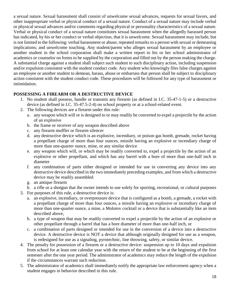a sexual nature. Sexual harassment shall consist of unwelcome sexual advances, requests for sexual favors, and other inappropriate verbal or physical conduct of a sexual nature. Conduct of a sexual nature may include verbal or physical sexual advances and/or comments regarding physical or personality characteristics of a sexual nature. Verbal or physical conduct of a sexual nature constitutes sexual harassment when the allegedly harassed person has indicated, by his or her conduct or verbal objection, that it is unwelcome. Sexual harassment may include, but is not limited to the following: verbal harassment or abuse; repeated remarks to a person with sexual or demeaning implications; and unwelcome touching. Any student/parent who alleges sexual harassment by an employee or another student in the school corporation shall make a written report to his or her school administrator of academics or counselor on forms to be supplied by the corporation and filled out by the person making the charge. A substantial charge against a student shall subject such student to such disciplinary action, including suspension and/or expulsion consistent with the student conduct code. Any student who knowingly files false charges against an employee or another student to demean, harass, abuse or embarrass that person shall be subject to disciplinary action consistent with the student conduct code. These procedures will be followed for any type of harassment or intimidation.

# **POSSESSING A FIREARM OR A DESTRUCTIVE DEVICE**

- 1. No student shall possess, handle or transmit any firearm (as defined in I.C. 35-47-1-5) or a destructive device (as defined in I.C. 35-47.5-2-4) on school property or at a school-related event.
- 2. The following devices are a firearm under this rule:
	- a. any weapon which will or is designed to or may readily be converted to expel a projectile by the action of an explosive
	- b. the frame or receiver of any weapon described above
	- c. any firearm muffler or firearm silencer
	- d. any destructive device which is an explosive, incendiary, or poison gas bomb, grenade, rocket having a propellant charge of more than four ounces, missile having an explosive or incendiary charge of more than one-quarter ounce, mine, or any similar device
	- e. any weapon which will, or which may be readily converted to, expel a projectile by the action of an explosive or other propellant, and which has any barrel with a bore of more than one-half inch in diameter
	- f. any combination of parts either designed or intended for use in converting any device into any destructive device described in the two immediately preceding examples, and from which a destructive device may be readily assembled
	- g. an antique firearm
	- h. a rifle or a shotgun that the owner intends to use solely for sporting, recreational, or cultural purposes
- 3. For purposes of this rule, a destructive device is:
	- a. an explosive, incendiary, or overpressure device that is configured as a bomb, a grenade, a rocket with a propellant charge of more than four ounces, a missile having an explosive or incendiary charge of more than one-quarter ounce, a mine, a Molotov cocktail or a device that is substantially like an item described above,
	- b. a type of weapon that may be readily converted to expel a projectile by the action of an explosive or other propellant through a barrel that has a bore diameter of more than one-half inch, or
	- c. a combination of parts designed or intended for use in the conversion of a device into a destructive device. A destructive device is NOT a device that although originally designed for use as a weapon, is redesigned for use as a signaling, pyrotechnic, line throwing, safety, or similar device.
- 4. The penalty for possession of a firearm or a destructive device: suspension up to 10 days and expulsion from school for at least one calendar year with the return of the student to be at the beginning of the first semester after the one year period. The administrator of academics may reduce the length of the expulsion if the circumstances warrant such reduction.
- 5. The administrator of academics shall immediately notify the appropriate law enforcement agency when a student engages in behavior described in this rule.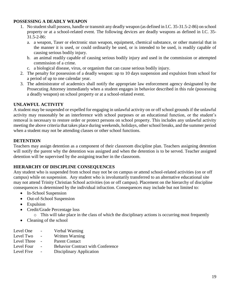## **POSSESSING A DEADLY WEAPON**

- 1. No student shall possess, handle or transmit any deadly weapon (as defined in I.C. 35-31.5-2-86) on school property or at a school-related event. The following devices are deadly weapons as defined in I.C. 35- 31.5-2-86:
	- a. a weapon, Taser or electronic stun weapon, equipment, chemical substance, or other material that in the manner it is used, or could ordinarily be used, or is intended to be used, is readily capable of causing serious bodily injury.
	- b. an animal readily capable of causing serious bodily injury and used in the commission or attempted commission of a crime.
	- c. a biological disease, virus, or organism that can cause serious bodily injury.
- 2. The penalty for possession of a deadly weapon: up to 10 days suspension and expulsion from school for a period of up to one calendar year.
- 3. The administrator of academics shall notify the appropriate law enforcement agency designated by the Prosecuting Attorney immediately when a student engages in behavior described in this rule (possessing a deadly weapon) on school property or at a school-related event.

# **UNLAWFUL ACTIVITY**

A student may be suspended or expelled for engaging in unlawful activity on or off school grounds if the unlawful activity may reasonably be an interference with school purposes or an educational function, or the student's removal is necessary to restore order or protect persons on school property. This includes any unlawful activity meeting the above criteria that takes place during weekends, holidays, other school breaks, and the summer period when a student may not be attending classes or other school functions.

# **DETENTION**

Teachers may assign detention as a component of their classroom discipline plan. Teachers assigning detention will notify the parent why the detention was assigned and when the detention is to be served. Teacher assigned detention will be supervised by the assigning teacher in the classroom.

# **HIERARCHY OF DISCIPLINE CONSEQUENCES**

Any student who is suspended from school may not be on campus or attend school-related activities (on or off campus) while on suspension. Any student who is involuntarily transferred to an alternative educational site may not attend Trinity Christian School activities (on or off campus). Placement on the hierarchy of discipline consequences is determined by the individual infraction. Consequences may include but not limited to:

- In-School Suspension
- Out-of-School Suspension
- Expulsion
- Credit/Grade Percentage loss
	- o This will take place in the class of which the disciplinary actions is occurring most frequently
- Cleaning of the school
- Level One Verbal Warning
- Level Two Written Warning
- Level Three Parent Contact
- Level Four Behavior Contract with Conference
- Level Five Disciplinary Application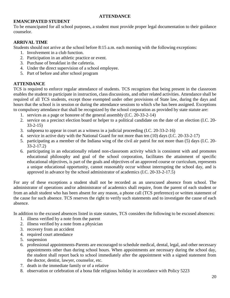## **ATTENDANCE**

# **EMANCIPATED STUDENT**

To be emancipated for all school purposes, a student must provide proper legal documentation to their guidance counselor.

# **ARRIVAL TIME**

Students should not arrive at the school before 8:15 a.m. each morning with the following exceptions:

- 1. Involvement in a club function.
- 2. Participation in an athletic practice or event.
- 3. Purchase of breakfast in the cafeteria.
- 4. Under the direct supervision of a school employee.
- 5. Part of before and after school program

# **ATTENDANCE**

TCS is required to enforce regular attendance of students. TCS recognizes that being present in the classroom enables the student to participate in instruction, class discussions, and other related activities. Attendance shall be required of all TCS students, except those exempted under other provisions of State law, during the days and hours that the school is in session or during the attendance sessions to which s/he has been assigned. Exceptions to compulsory attendance that shall be recognized by the school corporation as provided by state statute are:

- 1. services as a page or honoree of the general assembly (I.C. 20-33-2-14)
- 2. service on a precinct election board or helper to a political candidate on the date of an election (I.C. 20- 33-2-15)
- 3. subpoena to appear in court as a witness in a judicial proceeding (I.C. 20-33-2-16)
- 4. service in active duty with the National Guard for not more than ten (10) days (I.C. 20-33-2-17)
- 5. participating as a member of the Indiana wing of the civil air patrol for not more than (5) days (I.C. 20- 33-2-17.2)
- 6. participating in an educationally related non-classroom activity which is consistent with and promotes educational philosophy and goal of the school corporation, facilitates the attainment of specific educational objectives, is part of the goals and objectives of an approved course or curriculum, represents a unique educational opportunity, cannot reasonably occur without interrupting the school day, and is approved in advance by the school administrator of academics (I.C. 20-33-2-17.5)

For any of these exceptions a student shall not be recorded as an unexcused absence from school. The administrator of operations and/or administrator of academics shall require, from the parent of each student or from an adult student who has been absent for any reason, a phone call (TCS preference) or written statement of the cause for such absence. TCS reserves the right to verify such statements and to investigate the cause of each absence.

In addition to the excused absences listed in state statutes, TCS considers the following to be excused absences:

- 1. illness verified by a note from the parent
- 2. illness verified by a note from a physician
- 3. recovery from an accident
- 4. required court attendance
- 5. suspension
- 6. professional appointments-Parents are encouraged to schedule medical, dental, legal, and other necessary appointments other than during school hours. When appointments are necessary during the school day, the student shall report back to school immediately after the appointment with a signed statement from the doctor, dentist, lawyer, counselor, etc.
- 7. death in the immediate family or of a relative
- 8. observation or celebration of a bona fide religious holiday in accordance with Policy 5223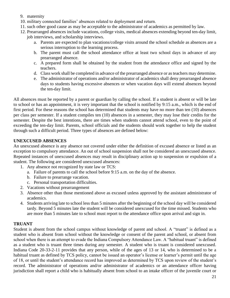- 9. maternity
- 10. military connected families' absences related to deployment and return.
- 11. such other good cause as may be acceptable to the administrator of academics as permitted by law.
- 12. Prearranged absences include vacations, college visits, medical absences extending beyond ten-day limit, job interviews, and scholarship interviews.
	- a. Parents are expected to plan vacations/college visits around the school schedule as absences are a serious interruption to the learning process.
	- b. The parent must call the school attendance office at least two school days in advance of any prearranged absence.
	- c. A prepared form shall be obtained by the student from the attendance office and signed by the teachers.
	- d. Class work shall be completed in advance of the prearranged absence or as teachers may determine.
	- e. The administrator of operations and/or administrator of academics shall deny prearranged absence days to students having excessive absences or when vacation days will extend absences beyond the ten-day limit.

All absences must be reported by a parent or guardian by calling the school. If a student is absent or will be late to school or has an appointment, it is very important that the school is notified by 9:15 a.m., which is the end of first period. For these reasons the school has determined that students may have no more than ten (10) absences per class per semester. If a student compiles ten (10) absences in a semester, they may lose their credits for the semester. Despite the best intentions, there are times when students cannot attend school, even to the point of exceeding the ten-day limit. Parents, school officials and the students should work together to help the student through such a difficult period. Three types of absences are defined below:

## **UNEXCUSED ABSENCES**

An unexcused absence is any absence not covered under either the definition of excused absence or listed as an exception to compulsory attendance. An out of school suspension shall not be considered an unexcused absence. Repeated instances of unexcused absences may result in disciplinary action up to suspension or expulsion of a student. The following are considered unexcused absences:

- 1. Any absence not recognized by state law or TCS:
	- a. Failure of parents to call the school before 9:15 a.m. on the day of the absence.
	- b. Failure to prearrange vacation.
	- c. Personal transportation difficulties.
- 2. Vacations without prearrangement
- 3. Absence other than those mentioned above as excused unless approved by the assistant administrator of academics.
- 4. Students arriving late to school less than 5 minutes after the beginning of the school day will be considered tardy. Beyond 5 minutes late the student will be considered unexcused for the time missed. Students who are more than 5 minutes late to school must report to the attendance office upon arrival and sign in.

## **TRUANT**

Student is absent from the school campus without knowledge of parent and school. A "truant" is defined as a student who is absent from school without the knowledge or consent of the parent and school, or absent from school when there is an attempt to evade the Indiana Compulsory Attendance Law. A "habitual truant" is defined as a student who is truant three times during any semester. A student who is truant is considered unexcused. Indiana Code 20-33-2-11 provides that any person, while of the ages of 13 or 14, who is determined to be a habitual truant as defined by TCS policy, cannot be issued an operator's license or learner's permit until the age of 18, or until the student's attendance record has improved as determined by TCS upon review of the student's record. The administrator of operations and/or administrator of academics or an attendance officer having jurisdiction shall report a child who is habitually absent from school to an intake officer of the juvenile court or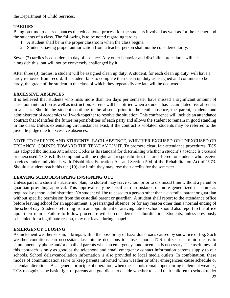the Department of Child Services.

# **TARDIES**

Being on time to class enhances the educational process for the students involved as well as for the teacher and the students of a class. The following is to be noted regarding tardies:

- 1. A student shall be in the proper classroom when the class begins.
- 2. Students having proper authorization from a teacher person shall not be considered tardy.

Seven (7) tardies is considered a day of absence. Any other behavior and discipline procedures will act alongside this, but will not be conversely challenged by it.

After three (3) tardies, a student will be assigned clean up duty. A student, for each clean up duty, will have a tardy removed from record. If a student fails to complete their clean up duty as assigned and continues to be tardy, the grade of the student in the class of which they repeatedly are late will be deducted.

## **EXCESSIVE ABSENCES**

It is believed that students who miss more than ten days per semester have missed a significant amount of classroom interaction as well as instruction. Parents will be notified when a student has accumulated five absences in a class. Should the student continue to be absent, prior to the tenth absence, the parent, student, and administrator of academics will work together to resolve the situation. This conference will include an attendance contract that identifies the future responsibilities of each party and allows the student to remain in good standing in the class. Unless extenuating circumstances exist, if the contract is violated, students may be referred to the juvenile judge due to excessive absences.

NOTE TO PARENTS AND STUDENTS: EACH ABSENCE, WHETHER EXCUSED OR UNEXCUSED OR TRUANCY, COUNTS TOWARD THE TEN-DAY LIMIT. To promote clear, fair attendance procedures, TCS has adopted the Indiana Attendance Codes as its standard for determining whether a student's absence is excused or unexcused. TCS is fully compliant with the rights and responsibilities that are offered for students who receive services under Individuals with Disabilities Education Act and Section 504 of the Rehabilitation Act of 1973. Should a student reach this ten (10) day limit, they may lose their credits for the semester.

## **LEAVING SCHOOL/SIGNING IN/SIGNING OUT**

Unless part of a student's academic plan, no student may leave school prior to dismissal time without a parent or guardian providing approval. This approval may be specific to an instance or more generalized in nature as required by school administration. No student will be released to a person other than a custodial parent or guardian without specific permission from the custodial parent or guardian. A student shall report to the attendance office before leaving school for an appointment, a prearranged absence, or for any reason other than a normal ending of the school day. Students returning from an appointment or arriving late to school should also report to the office upon their return. Failure to follow procedure will be considered insubordination. Students, unless previously scheduled for a legitimate reason, may not leave during chapel.

## **EMERGENCY CLOSING**

As inclement weather sets in, it brings with it the possibility of hazardous roads caused by snow, ice or fog. Such weather conditions can necessitate last-minute decisions to close school. TCS utilizes electronic means to simultaneously phone and/or email all parents when an emergency announcement is necessary. The usefulness of this approach is only as good as the telephone and email emergency contact information parents supply to our schools. School delay/cancellation information is also provided to local media outlets. In combination, these modes of communication serve to keep parents informed when weather or other emergencies cause schedule or calendar alterations. As a general principle of operation, when the schools remain open during inclement weather, TCS recognizes the basic right of parents and guardians to decide whether to send their children to school under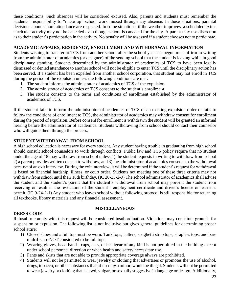these conditions. Such absences will be considered excused. Also, parents and students must remember the students' responsibility to "make up" school work missed through any absence. In these situations, parental decisions about school attendance are respected. In some situations, if the weather improves, a scheduled extracurricular activity may not be canceled even though school is canceled for the day. A parent may use discretion as to their student's participation in the activity. No penalty will be assessed if a student chooses not to participate.

# **ACADEMIC AFFAIRS, RESIDENCY, ENROLLMENT AND WITHDRAWAL INFORMATION**

Students wishing to transfer to TCS from another school after the school year has begun must affirm in writing from the administrator of academics (or designee) of the sending school that the student is leaving while in good disciplinary standing. Students determined by the administrator of academics of TCS to have been legally dismissed or denied attendance to another school will not be eligible to enter TCS until the disciplinary action has been served. If a student has been expelled from another school corporation, that student may not enroll in TCS during the period of the expulsion unless the following conditions are met:

- 1. The student informs the administrator of academics of TCS of the expulsion.
- 2. The administrator of academics of TCS consents to the student's enrollment.
- 3. The student consents to the terms and conditions of enrollment established by the administrator of academics of TCS.

If the student fails to inform the administrator of academics of TCS of an existing expulsion order or fails to follow the conditions of enrollment to TCS, the administrator of academics may withdraw consent for enrollment during the period of expulsion. Before consent for enrollment is withdrawn the student will be granted an informal hearing before the administrator of academics. Students withdrawing from school should contact their counselor who will guide them through the process.

# **STUDENT WITHDRAWAL FROM SCHOOL**

A high school education is necessary for every student. Any student having trouble in graduating from high school should consult school counselors to work through conflicts. Public law and TCS policy require that no student under the age of 18 may withdraw from school unless 1) the student requests in writing to withdraw from school 2) a parent provides written consent to withdraw, and 3) the administrator of academics consents to the withdrawal because of an exit interview. During the exit interview, it will be determined if the student's request for withdrawal is based on financial hardship, illness, or court order. Students not meeting one of these three criteria may not withdraw from school until their 18th birthday. (IC 20-33-2-9) The school administrator of academics shall advise the student and the student's parent that the student's withdrawal from school may prevent the student from receiving or result in the revocation of the student's employment certificate and driver's license or learner's permit. (IC 9-24-2-1) Any student who leaves school without following protocol is still responsible for returning all textbooks, library materials and any financial assessment.

## **MISCELLANEOUS**

## **DRESS CODE**

Refusal to comply with this request will be considered insubordination. Violations may constitute grounds for suspension or expulsion. The following list is not inclusive but gives general guidelines for determining proper school attire:

- 1) Closed shoes and a full top must be worn. Tank tops, halters, spaghetti strap tops, strapless tops, and bare midriffs are NOT considered to be full tops.
- 2) Wearing gloves, head bands, caps, hats, or headgear of any kind is not permitted in the building except under school personnel direction or when health and safety necessitate use.
- 3) Pants and skirts that are not able to provide appropriate coverage always are prohibited.
- 4) Students will not be permitted to wear jewelry or clothing that advertises or promotes the use of alcohol, drugs, tobacco, or other substances that, if used by a minor, would be illegal. Students will not be permitted to wear jewelry or clothing that is lewd, vulgar, or sexually suggestive in language or design. Additionally,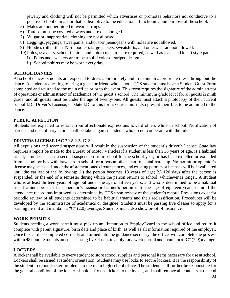jewelry and clothing will not be permitted which advertises or promotes behaviors not conducive to a positive school climate or that is disruptive to the educational functioning and purpose of the school.

- 5) Males are not permitted to wear earrings.
- 6) Tattoos must be covered always and are discouraged.
- 7) Vulgar or inappropriate clothing are not allowed.
- 8) Leggings, jeggings, sweatpants, and/or torn jeans/jeans with holes are not allowed.
- 9) Hoodies (other than TCS hoodies), large jackets, sweatshirts, and outerwear are not allowed.
- 10) Polos, sweaters, school t-shirts, and button up shirts are required, as well as jeans and khaki style pants.
	- i) Polos and sweaters are to be a solid color or striped design.
	- ii) School t-shirts may be worn every day.

#### **SCHOOL DANCES**

At school dances, students are expected to dress appropriately and to maintain appropriate dress throughout the dance. A student requesting to bring a guest or friend who is not a TCS student must have a Student Guest Form completed and returned to the main office prior to the event. This form requires the signature of the administrator of operations or administrator of academics of the guest's school. The minimum grade level for all guests is ninth grade, and all guests must be under the age of twenty-one. All guests must attach a photocopy of their current school I.D., Driver's License, or State I.D. to this form. Guests must also present their I.D. to be admitted to the dance.

#### **PUBLIC AFFECTION**

Students are expected to refrain from affectionate expressions toward others while in school. Notification of parents and disciplinary action shall be taken against students who do not cooperate with the rule.

#### **DRIVERS LICENSE IAC 20-8.2-3-17.2**

All expulsions and second suspensions will result in the suspension of the student's driver's license. State law requires a report be made to the Bureau of Motor Vehicles if a student is less than 18 years of age, is a habitual truant, is under at least a second suspension from school for the school year, or has been expelled or excluded from school, or has withdrawn from school for a reason other than financial hardship. No permit or operator's license may be issued under the aforementioned circumstances, and existing permits or licenses will be invalidated until the earliest of the following: 1.) the person becomes 18 years of age; 2.) 120 days after the person is suspended, or the end of a semester during which the person returns to school, whichever is longer. A student who is at least thirteen years of age but under the age of fifteen years, and who is determined to be a habitual truant cannot be issued an operator's license or learner's permit until the age of eighteen years, or until the attendance record has improved as determined by TCS upon review of the student's record. Provisions exist for periodic review of all students determined to be habitual truants and their reclassification. Procedures will be developed by the administrator of academics or designee. Students must be passing five classes to apply for a parking permit and maintain a "C" (2.0) average. Students must also show proof of insurance.

#### **WORK PERMITS**

Students needing a work permit must pick up an "Intention to Employ" card in the school office and return it complete with parent signature, birth date and place of birth, as well as all information required of the employer. Once this card is completed correctly and turned into the guidance secretary, the office will complete the process within 48 hours. Students must be passing five classes to apply for a work permit and maintain a "C" (2.0) average.

#### **LOCKERS**

A locker shall be available to every student to store school supplies and personal items necessary for use at school. Lockers shall be issued at student orientation. Students may use locks to secure lockers. It is the responsibility of the student to report locker problems to the main high school office. The student shall further be responsible for the general condition of the locker, should affix no stickers to the locker, and shall remove all contents at the end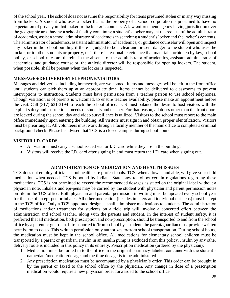of the school year. The school does not assume the responsibility for items presumed stolen or in any way missing from lockers. A student who uses a locker that is the property of a school corporation is presumed to have no expectation of privacy in that locker or the locker's contents. A law enforcement agency having jurisdiction over the geographic area having a school facility containing a student's locker may, at the request of the administrator of academics, assist a school administrator of academcis in searching a student's locker and the locker's contents. The administrator of academics, assistant administrator of academics, or guidance counselor will open and inspect any locker in the school building if there is judged to be a clear and present danger to the student who uses the locker, or to other students or property, or if there is reasonable evidence that materials forbidden by law, school policy, or school rules are therein. In the absence of the administrator of academics, assistant administrator of academics, and guidance counselor, the athletic director will be responsible for opening lockers. The student, when possible, shall be present when the locker is inspected.

# **MESSAGES/DELIVERIES/TELEPHONE/VISITORS**

Messages and deliveries, including homework, are welcomed. Items and messages will be left in the front office until students can pick them up at an appropriate time. Items cannot be delivered to classrooms to prevent interruptions to instruction. Students must have permission from a teacher person to use school telephones. Though visitation is of parents is welcomed, to ensure teacher availability, please make an appointment before the visit. Call (317) 631-3194 to reach the school office. TCS must balance the desire to host visitors with the explicit safety and instructional needs of students and teacher. For that reason, all doors other than the front doors are locked during the school day and video surveillance is utilized. Visitors to the school must report to the main office immediately upon entering the building. All visitors must sign in and obtain proper identification. Visitors must be prearranged. All volunteers must work through a faculty member of the main office to complete a criminal background check. Please be advised that TCS is a closed campus during school hours.

# **VISITOR I.D. CARDS**

- All visitors must carry a school issued visitor I.D. card while they are in the building.
- Visitors will receive the I.D. card after signing in and must return the I.D. card when signing out.

# **ADMINISTRATION OF MEDICATION AND HEALTH ISSUES**

TCS does not employ official school health care professionals. TCS, when allowed and able, will give your child medication when needed. TCS is bound by Indiana State Law to follow certain regulations regarding these medications. TCS is not permitted to exceed the recommended dosages as stated on the original label without a physician note. Inhalers and epi-pens may be carried by the student with physician and parent permission notes on file in the TCS office. Both physician and parental permission in writing must be updated every school year for the use of an epi-pen or inhaler. All other medication (besides inhalers and individual epi-pens) must be kept in the TCS office. Only a TCS appointed designee shall administer medications to students. The administration of medications and/or treatments for students on a field trip will involve a concerted effort between the administration and school teacher, along with the parents and student. In the interest of student safety, it is preferred that all medication, both prescription and non-prescription, should be transported to and from the school office by a parent or guardian. If transported to/from school by a student, the parent/guardian must provide written permission to do so. This written permission only authorizes to/from school transportation. During school hours, the medication must be kept in the school office. All medications for elementary school children must be transported by a parent or guardian. Insulin in an insulin pump is excluded from this policy. Insulin by any other delivery route is included in this policy in its entirety. Prescription medication (ordered by the physician):

- 1. Medication must be turned in to the office in the original pharmacy-labeled container with the student's name/date/medication/dosage and the time dosage is to be administered.
- 2. Any prescription medication must be accompanied by a physician's order. This order can be brought in by the parent or faxed to the school office by the physician. Any change in dose of a prescription medication would require a new physician order forwarded to the school office.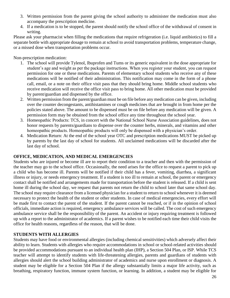- 3. Written permission from the parent giving the school authority to administer the medication must also accompany the prescription medicine.
- 4. If a medication is to be stopped, the parent should notify the school office of the withdrawal of consent in writing.

Please ask your pharmacist when filling the medications that require refrigeration (i.e. liquid antibiotics) to fill a separate bottle with appropriate dosage to remain at school to avoid transportation problems, temperature change, or a missed dose when transportation problems occur.

Non-prescription medication:

- 1. The school will provide Tylenol, Ibuprofen and Tums or its generic equivalent in the dose appropriate for student's age and weight as per the package instructions. When you register your student, you can request permission for one or these medications. Parents of elementary school students who receive any of these medications will be notified of their administration. This notification may come in the form of a phone call, email, or a note on their office visit pass that they should bring home. Middle school students who receive medication will receive the office visit pass to bring home. All other medication must be provided by parent/guardian and dispensed by the office.
- 2. Written permission from the parent/guardian must be on file before any medication can be given, including over the counter decongestants, antihistamines or cough medicines that are brought in from home per the policies stated above. The amount to be dispensed must be on file before any medication will be given. A permission form may be obtained from the school office any time throughout the school year.
- 3. Homeopathic Products: TCS, in concert with the National School Nurse Association guidelines, does not honor requests by parents/guardians to dispense over the counter herbs, minerals, and vitamins and other homeopathic products. Homeopathic products will only be dispensed with a physician's order.
- 4. Medication Return: At the end of the school year OTC and prescription medications MUST be picked up by parents by the last day of school for students. All unclaimed medications will be discarded after the last day of school.

## **OFFICE, MEDICATION, AND MEDICAL EMERGENCIES**

Students who are injured or become ill are to report their condition to a teacher and then with the permission of the teacher may go to the school office. Occasionally, the need arises for the office to request a parent to pick up a child who has become ill. Parents will be notified if their child has a fever, vomiting, diarrhea, a significant illness or injury, or needs emergency treatment. If a student is too ill to remain at school, the parent or emergency contact shall be notified and arrangements made for transportation before the student is released. If a child is sent home ill during the school day, we request that parents not return the child to school later that same school day. The school may require clearance from a licensed physician for a student to return to school whenever it is deemed necessary to protect the health of the student or other students. In case of medical emergencies, every effort will be made first to contact the parent of the student. If the parent cannot be reached, or if in the opinion of school officials, immediate action is required, emergency ambulance services will be called. The cost of such emergency ambulance service shall be the responsibility of the parent. An accident or injury requiring treatment is followed up with a report to the administrator of academics. If a parent wishes to be notified each time their child visits the office for health reasons, regardless of the reason, that will be done.

## **STUDENTS WITH ALLERGIES**

Students may have food or environmental allergies (including chemical sensitivities) which adversely affect their ability to learn. Students with allergies who require accommodations in school or school-related activities should be provided accommodations pursuant to an individual health plan (IHP), a Section 504 Plan, or ISP. While TCS teacher will attempt to identify students with life-threatening allergies, parents and guardians of students with allergies should alert the school building administrator of academics and nurse upon enrollment or diagnosis. A student may be eligible for a Section 504 Plan if the allergy substantially limits a major life activity, such as breathing, respiratory function, immune system function, or learning. In addition, a student may be eligible for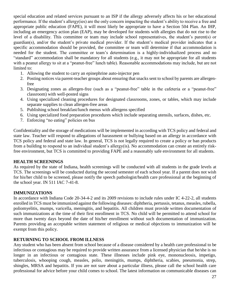special education and related services pursuant to an ISP if the allergy adversely affects his or her educational performance. If the student's allergy(ies) are the only concern impacting the student's ability to receive a free and appropriate public education (FAPE), it will most likely be appropriate to have a Section 504 Plan. An IHP, including an emergency action plan (EAP), may be developed for students with allergies that do not rise to the level of a disability. This committee or team may include school representatives, the student's parent(s) or guardian(s), and/or the student's private medical provider. If the student's medical provider indicates that a specific accommodation should be provided, the committee or team will determine if that accommodation is needed for the student. The committee or team's determination is a highly-individualized process and no "standard" accommodation shall be mandatory for all students (e.g., it may not be appropriate for all students with a peanut allergy to sit at a "peanut-free" lunch table). Reasonable accommodations may include, but are not limited to:

- 1. Allowing the student to carry an epinephrine auto-injector pen
- 2. Posting notices via parent-teacher groups about ensuring that snacks sent to school by parents are allergenfree
- 3. Designating zones as allergen-free (such as a "peanut-free" table in the cafeteria or a "peanut-free" classroom) with well-posted signs
- 4. Using specialized cleaning procedures for designated classrooms, zones, or tables, which may include separate supplies to clean allergen-free areas
- 5. Publishing school breakfast/lunch menus with allergens specified
- 6. Using specialized food preparation procedures which include separating utensils, surfaces, dishes, etc.
- 7. Enforcing "no eating" policies on bus

Confidentiality and the storage of medications will be implemented in according with TCS policy and federal and state law. Teacher will respond to allegations of harassment or bullying based on an allergy in accordance with TCS policy and federal and state law. In general, TCS is not legally required to create a policy or ban products from a building to respond to an individual student's allergy(is). No accommodation can create an entirely riskfree environment, but TCS is committed to providing FAPE and a reasonably safe environment for all students.

## **HEALTH SCREENINGS**

As required by the state of Indiana, health screenings will be conducted with all students in the grade levels at TCS. The screenings will be conducted during the second semester of each school year. If a parent does not wish for his/her child to be screened, please notify the speech pathologist/health care professional at the beginning of the school year. IN 511 IAC 7-41-8.

## **IMMUNIZATIONS**

In accordance with Indiana Code 20-34-4-2 and its 2009 revisions to include rules under IC 4-22-2, all students enrolled in TCS must be immunized against the following diseases: diphtheria, pertussis, tetanus, measles, rubella, poliomyelitis, mumps, varicella, meningitis, and hepatitis. All children must provide written documentation of such immunizations at the time of their first enrollment in TCS. No child will be permitted to attend school for more than twenty days beyond the date of his/her enrollment without such documentation of immunization. Parents providing an acceptable written statement of religious or medical objections to immunization will be exempt from this policy.

## **RETURNING TO SCHOOL FROM ILLNESS**

Any student who has been absent from school because of a disease considered by a health care professional to be infectious or contagious may be required to provide written assurance from a licensed physician that he/she is no longer in an infectious or contagious state. These illnesses include pink eye, mononucleosis, impetigo, tuberculosis, whooping cough, measles, polio, meningitis, mumps, diphtheria, scabies, pneumonia, strep, shingles, MRSA and hepatitis. If you are not sure about a particular illness, please call the school health care professional for advice before your child comes to school. The latest information on communicable diseases can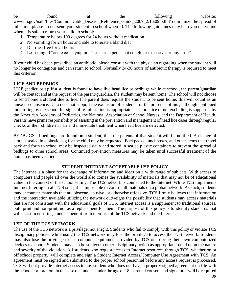be found at the following website: www.in.gov/isdh/files/Communicable\_Disease\_Reference\_Guide\_2009\_2.16.09.pdf To minimize the spread of infection, please do not send your student to school when ill. The following guidelines may help you determine when it is safe to return your child to school:

- 1. Temperature below 100 degrees for 24 hours without medication
- 2. No vomiting for 24 hours and able to tolerate a bland diet
- 3. Diarrhea free for 24 hours
- 4. Lessening of "acute cold symptoms" such as a persistent cough, or excessive "runny nose"

If your child has been prescribed an antibiotic, please consult with the physician regarding when the student will no longer be contagious and can return to school. Normally 24-36 hours of antibiotic therapy is required to meet this criterion.

# **LICE AND BEDBUGS**

LICE (pediculosis): If a student is found to have live head lice or bedbugs while at school, the parent/guardian will be contact and at the request of the parent/guardian, the student may be sent home. The school will not choose to send home a student due to lice. If a parent does request the student to be sent home, this will count as an unexcused absence. Data does not support the exclusion of students for the presence of nits, although continued monitoring by the school for signs of re-infestation is appropriate. This practice of not excluding is supported by the American Academy of Pediatrics, the National Association of School Nurses, and the Department of Health. Parents have prime responsibility of assisting in the prevention and management of head lice cases through regular checks of their children's hair and immediate treatment when head lice are detected.

BEDBUGS: If bed bugs are found on a student, then the parents of that student will be notified. A change of clothes sealed in a plastic bag for the child may be requested. Backpacks, lunchboxes, and other items that travel back and forth to school may be inspected daily and stored in sealed plastic containers to prevent the spread of bedbugs to other school areas. Continued prevention measures may be taken until successful treatment of the home has been verified.

## **STUDENT INTERNET ACCEPTABLE USE POLICY**

The Internet is a place for the exchange of information and ideas on a wide range of subjects. With access to computers and people all over the world also comes the availability of materials that may not be of educational value in the context of the school setting. The TCS network is connected to the Internet. While TCS implements Internet filtering on all TCS sites, it is impossible to control all materials on a global network. As such, students may encounter materials that are obscene, abusive, or otherwise offensive. TCS firmly believes that information and the interaction available utilizing the network outweighs the possibility that students may access materials that are not consistent with the educational goals of TCS. Internet access is a supplement to traditional sources, both print and non-print, not as a replacement for them. The purpose of this policy is to identify standards that will assist in ensuring students benefit from their use of the TCS network and the Internet.

# **USE OF THE TCS NETWORK**

The use of the TCS network is a privilege, not a right. Students who fail to comply with this policy or violate TCS disciplinary policies while using the TCS network may lose the privilege to access the TCS network. Students may also lose the privilege to use computer equipment provided by TCS or to bring their own computerized devices to school. Students may also be subject to other disciplinary action as appropriate based upon the nature and severity of the violation. All students who request access to Internet resources through TCS, whether on or off school property, will complete and sign a Student Internet Access/Computer Use Agreement with TCS. An agreement must be signed and submitted to the proper school personnel before any access request is processed. TCS will not provide Internet access to any student who does not have a properly signed agreement on file with the school corporation. In the case of students under the age of 18, parental consent and signatures will be required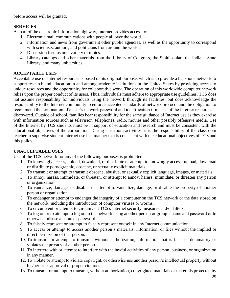before access will be granted.

# **SERVICES**

As part of the electronic information highway, Internet provides access to:

- 1. Electronic mail communications with people all over the world.
- 2. Information and news from government other public agencies, as well as the opportunity to correspond with scientists, authors, and politicians from around the world.
- 3. Discussion forums on a variety of topics.
- 4. Library catalogs and other materials from the Library of Congress, the Smithsonian, the Indiana State Library, and many universities.

# **ACCEPTABLE USES**

Acceptable use of Internet resources is based on its original purpose, which is to provide a backbone network to support research and education in and among academic institutions in the United States by providing access to unique resources and the opportunity for collaborative work. The operation of this worldwide computer network relies upon the proper conduct of its users. Thus, individuals must adhere to appropriate use guidelines. TCS does not assume responsibility for individuals using the network through its facilities, but does acknowledge the responsibility to the Internet community to enforce accepted standards of network protocol and the obligation to recommend the termination of a user's network password and identification if misuse of the Internet resources is discovered. Outside of school, families bear responsibility for the same guidance of Internet use as they exercise with information sources such as television, telephones, radio, movies and other possibly offensive media. Use of the Internet by TCS students must be in support of education and research and must be consistent with the educational objectives of the corporation. During classroom activities, it is the responsibility of the classroom teacher to supervise student Internet use in a manner that is consistent with the educational objectives of TCS and this policy.

# **UNACCEPTABLE USES**

Use of the TCS network for any of the following purposes is prohibited:

- 1. To knowingly access, upload, download, or distribute or attempt to knowingly access, upload, download or distribute pornographic, obscene, or sexually explicit materials.
- 2. To transmit or attempt to transmit obscene, abusive, or sexually explicit language, images, or materials.
- 3. To annoy, harass, intimidate, or threaten, or attempt to annoy, harass, intimidate, or threaten any person or organization.
- 4. To vandalize, damage, or disable, or attempt to vandalize, damage, or disable the property of another person or organization.
- 5. To endanger or attempt to endanger the integrity of a computer on the TCS network or the data stored on the network, including the introduction of computer viruses or worms.
- 6. To circumvent or attempt to circumvent TCS's Internet security measures and/or filters.
- 7. To log on or to attempt to log on to the network using another person or group's name and password or to otherwise misuse a name or password.
- 8. To falsely represent or attempt to falsely represent oneself in any Internet communication.
- 9. To access or attempt to access another person's materials, information, or files without the implied or direct permission of that person.
- 10. To transmit or attempt to transmit, without authorization, information that is false or defamatory or violates the privacy of another person.
- 11. To interfere with or attempt to interfere with the lawful activities of any person, business, or organization in any manner.
- 12. To violate or attempt to violate copyright, or otherwise use another person's intellectual property without his/her prior approval or proper citations.
- 13. To transmit or attempt to transmit, without authorization, copyrighted materials or materials protected by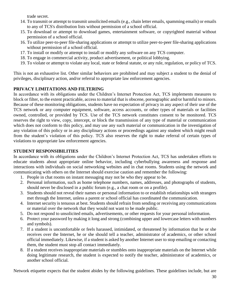trade secret.

- 14. To transmit or attempt to transmit unsolicited emails (e.g., chain letter emails, spamming emails) or emails to any of TCS's distribution lists without permission of a school official.
- 15. To download or attempt to download games, entertainment software, or copyrighted material without permission of a school official.
- 16. To utilize peer-to-peer file-sharing applications or attempt to utilize peer-to-peer file-sharing applications without permission of a school official.
- 17. To install or modify or attempt to install or modify any software on any TCS computer.
- 18. To engage in commercial activity, product advertisement, or political lobbying.
- 19. To violate or attempt to violate any local, state or federal statute, or any rule, regulation, or policy of TCS.

This is not an exhaustive list. Other similar behaviors are prohibited and may subject a student to the denial of privileges, disciplinary action, and/or referral to appropriate law enforcement agencies.

# **PRIVACY LIMITATIONS AND FILTERING**

In accordance with its obligations under the Children's Internet Protection Act, TCS implements measures to block or filter, to the extent practicable, access to material that is obscene, pornographic and/or harmful to minors. Because of these monitoring obligations, students have no expectation of privacy in any aspect of their use of the TCS network or any computer equipment, software, access accounts, or other types of materials or facilities owned, controlled, or provided by TCS. Use of the TCS network constitutes consent to be monitored. TCS reserves the right to view, copy, intercept, or block the transmission of any type of material or communication which does not conform to this policy, and may use any such material or communication in the investigation of any violation of this policy or in any disciplinary actions or proceedings against any student which might result from the student's violation of this policy. TCS also reserves the right to make referral of certain types of violations to appropriate law enforcement agencies.

# **STUDENT RESPONSIBILITIES**

In accordance with its obligations under the Children's Internet Protection Act, TCS has undertaken efforts to educate students about appropriate online behavior, including cyberbullying awareness and response and interactions with individuals on social networking websites and in chat rooms. Students using the network and communicating with others on the Internet should exercise caution and remember the following:

- 1. People in chat rooms on instant messaging may not be who they appear to be.
- 2. Personal information, such as home telephone numbers, names, addresses, and photographs of students, should never be disclosed in a public forum (e.g., a chat room or on a profile).
- 3. Students should not reveal their names or personal information to or establish relationships with strangers met through the Internet, unless a parent or school official has coordinated the communication.
- 4. Internet security is tenuous at best. Students should refrain from sending or receiving any communications or material over the network that they would not want to be made public.
- 5. Do not respond to unsolicited emails, advertisements, or other requests for your personal information.
- 6. Protect your password by making it long and strong (combining upper and lowercase letters with numbers and symbols).
- 7. If a student is uncomfortable or feels harassed, intimidated, or threatened by information that he or she receives over the Internet, he or she should tell a teacher, administrator of academics, or other school official immediately. Likewise, if a student is asked by another Internet user to stop emailing or contacting them, the student must stop all contact immediately.
- 8. If a student receives inappropriate materials or stumbles onto inappropriate materials on the Internet while doing legitimate research, the student is expected to notify the teacher, administrator of academics, or another school official.

Network etiquette expects that the student abides by the following guidelines. These guidelines include, but are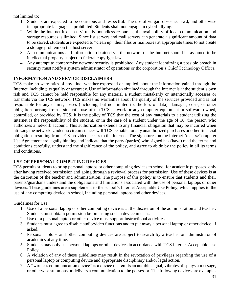not limited to:

- 1. Students are expected to be courteous and respectful. The use of vulgar, obscene, lewd, and otherwise inappropriate language is prohibited. Students shall not engage in cyberbullying.
- 2. While the Internet itself has virtually boundless resources, the availability of local communication and storage resources is limited. Since list servers and mail servers can generate a significant amount of data to be stored, students are expected to "clean up" their files or mailboxes at appropriate times to not create a storage problem on the host server.
- 3. All communications and information obtained via the network or the Internet should be assumed to be intellectual property subject to federal copyright law.
- 4. Any attempt to compromise network security is prohibited. Any student identifying a possible breach in security must notify a system administrator of operations or the corporation's Chief Technology Officer.

# **INFORMATION AND SERVICE DISCLAIMERS**

TCS make no warranties of any kind, whether expressed or implied, about the information gained through the Internet, including its quality or accuracy. Use of information obtained through the Internet is at the student's own risk and TCS cannot be held responsible for any material a student mistakenly or intentionally accesses or transmits via the TCS network. TCS makes no warranties about the quality of the services provided and is not responsible for any claims, losses (including, but not limited to, the loss of data), damages, costs, or other obligations arising from a student's use of the TCS network or any computer equipment or software owned, controlled, or provided by TCS. It is the policy of TCS that the cost of any materials to a student utilizing the Internet is the responsibility of the student, or in the case of a student under the age of 18, the person who authorizes a network account. This authorization extends to any financial obligation that may be incurred when utilizing the network. Under no circumstances will TCS be liable for any unauthorized purchases or other financial obligations resulting from TCS-provided access to the Internet. The signatures on the Internet Access/Computer Use Agreement are legally binding and indicate that the party (parties) who signed has (have) read the terms and conditions carefully, understand the significance of the policy, and agree to abide by the policy in all its terms and conditions.

# **USE OF PERSONAL COMPUTING DEVICES**

TCS permits students to bring personal laptops or other computing devices to school for academic purposes, only after having received permission and going through a reviewal process for permission. Use of these devices is at the discretion of the teacher and administration. The purpose of this policy is to ensure that students and their parents/guardians understand the obligations and limitations associated with the use of personal laptops or other devices. These guidelines are a supplement to the school's Internet Acceptable Use Policy, which applies to the use of any computing device in school, including personal laptops and other devices.

Guidelines for Use

- 1. Use of a personal laptop or other computing device is at the discretion of the administration and teacher. Students must obtain permission before using such a device in class.
- 2. Use of a personal laptop or other device must support instructional activities.
- 3. Students must agree to disable audio/video functions and to put away a personal laptop or other device, if asked.
- 4. Personal laptops and other computing devices are subject to search by a teacher or administrator of academics at any time.
- 5. Students may only use personal laptops or other devices in accordance with TCS Internet Acceptable Use Policy.
- 6. A violation of any of these guidelines may result in the revocation of privileges regarding the use of a personal laptop or computing device and appropriate disciplinary and/or legal action.
- 7. A "wireless communication device" is a device that emits an audible signal, vibrates, displays a message, or otherwise summons or delivers a communication to the possessor. The following devices are examples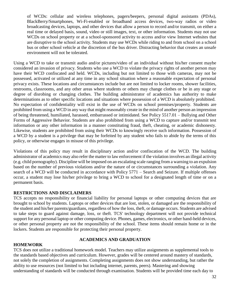of WCDs: cellular and wireless telephones, pagers/beepers, personal digital assistants (PDAs), BlackBerry/Smartphones, Wi-Fi-enabled or broadband access devices, two-way radios or video broadcasting devices, laptops, and other devices that allow a person to record and/or transmit, on either a real time or delayed basis, sound, video or still images, text, or other information. Students may not use WCDs on school property or at a school-sponsored activity to access and/or view Internet websites that are disruptive to the school activity. Students may use WCDs while riding to and from school on a school bus or other school vehicle at the discretion of the bus driver. Distracting behavior that creates an unsafe environment will not be tolerated.

Using a WCD to take or transmit audio and/or pictures/video of an individual without his/her consent maybe considered an invasion of privacy. Students who use a WCD to violate the privacy rights of another person may have their WCD confiscated and held. WCDs, including but not limited to those with cameras, may not be possessed, activated or utilized at any time in any school situation where a reasonable expectation of personal privacy exists. These locations and circumstances include but are not limited to locker rooms, shower facilities, restrooms, classrooms, and any other areas where students or others may change clothes or be in any stage or degree of disrobing or changing clothes. The building administrator of academics has authority to make determinations as to other specific locations and situations where possession of a WCD is absolutely prohibited. No expectation of confidentiality will exist in the use of WCDs on school premises/property. Students are prohibited from using a WCD in any way that might reasonably create in the mind of another person an impression of being threatened, humiliated, harassed, embarrassed or intimidated. See Policy 5517.01 – Bullying and Other Forms of Aggressive Behavior. Students are also prohibited from using a WCD to capture and/or transmit test information or any other information in a manner constituting fraud, theft, cheating, or academic dishonesty. Likewise, students are prohibited from using their WCDs to knowingly receive such information. Possession of a WCD by a student is a privilege that may be forfeited by any student who fails to abide by the terms of this policy, or otherwise engages in misuse of this privilege.

Violations of this policy may result in disciplinary action and/or confiscation of the WCD. The building administrator of academics may also refer the matter to law enforcement if the violation involves an illegal activity (e.g. child pornography). Discipline will be imposed on an escalating scale ranging from a warning to an expulsion based on the number of previous violations and/or the nature of or circumstances surrounding a violation. Any search of a WCD will be conducted in accordance with Policy 5771 – Search and Seizure. If multiple offenses occur, a student may lose his/her privilege to bring a WCD to school for a designated length of time or on a permanent basis.

## **RESTRICTIONS AND DISCLAIMERS**

TCS accepts no responsibility or financial liability for personal laptops or other computing devices that are brought to school by students. Laptops or other devices that are lost, stolen, or damaged are the responsibility of the student and his/her parents/guardians, regardless of how the loss, theft, or damage occurs. Students are advised to take steps to guard against damage, loss, or theft. TCS' technology department will not provide technical support for any personal laptop or other computing device. Phones, games, electronics, or other hand-held devices, or other personal property are not the responsibility of the school. These items should remain home or in the lockers. Students are responsible for protecting their personal property.

## **HOMEWORK**

# **ACADEMICS AND GRADUATION**

TCS does not utilize a traditional homework model. Teachers may utilize assignments as supplemental tools to the standards based objectives and curriculum. However, grades will be centered around mastery of standards, not solely the completion of assignments. Completing assignments does not show understanding, but rather the ability to use resources (not limited to but including internet, parents, peers). Mastering and showing understanding of standards will be conducted through examination. Students will be provided time each day to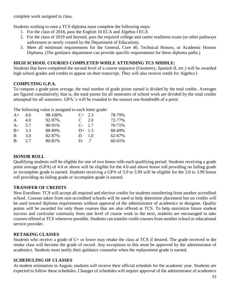complete work assigned in class.

Students wishing to earn a TCS diploma must complete the following steps:

- 1. For the class of 2018, pass the English 10 ECA and Algebra I ECA
- 2. For the class of 2019 and beyond, pass the required college and career readiness exam (or other pathways unforeseen or newly created by the Department of Education).
- 3. Meet all minimum requirements for the General, Core 40, Technical Honors, or Academic Honors Diploma. (The guidance department can provide specific requirements for these diploma paths.)

## **HIGH SCHOOL COURSES COMPLETED WHILE ATTENDING TCS MIDDLE:**

Students that have completed the second level of a course sequence (Geometry, Spanish II, etc.) will be awarded high school grades and credits to appear on their transcript. They will also receive credit for Algebra I.

# **COMPUTING G.P.A.**

To compute a grade point average, the total number of grade points earned is divided by the total credits. Averages are figured cumulatively; that is, the total points for all semesters of school work are divided by the total credits attempted for all semesters. GPA.'s will be rounded to the nearest one-hundredth of a point

The following value is assigned to each letter grade:

| $A+$         | 4.0 | 98-100% | $C+2.3$   | 78-79% |
|--------------|-----|---------|-----------|--------|
| $\mathsf{A}$ | 4.0 | 92-97%  | $C = 2.0$ | 72-77% |
| $A -$        | 3.7 | 90-91%  | $C-1.7$   | 70-71% |
| $B+$         | 3.3 | 88-89%  | $D+ 1.3$  | 68-69% |
| B            | 3.0 | 82-87%  | $D = 1.0$ | 62-67% |
| $B-$         | 2.7 | 80-81%  | $D-7$     | 60-61% |

## **HONOR ROLL**

Qualifying students will be eligible for one of two honor rolls each qualifying period. Students receiving a grade point average (GPA) of 4.0 or above will be eligible for the 4.0 and above honor roll providing no failing grade or incomplete grade is earned. Students receiving a GPA of 3.0 to 3.99 will be eligible for the 3.0 to 3.99 honor roll providing no failing grade or incomplete grade is earned.

## **TRANSFER OF CREDITS**

New Enrollees: TCS will accept all required and elective credits for students transferring from another accredited school. Courses taken from non-accredited schools will be used to help determine placement but no credits will be used toward diploma requirements without approval of the administrator of academics or designee. Quality points will be awarded for only those courses that are also offered at TCS. To help maximize future student success and curricular continuity from one level of course work to the next, students are encouraged to take courses offered at TCS whenever possible. Students can transfer credit courses from another school or educational service provider.

## **RETAKING CLASSES**

Students who receive a grade of C+ or lower may retake the class at TCS if desired. The grade received in the retake class will become the grade of record. Any exceptions to this must be approved by the administrator of academics. Students must notify their guidance counselor when the replacement grade is earned.

#### **SCHEDULING OF CLASSES**

At student orientation in August, students will receive their official schedule for the academic year. Students are expected to follow these schedules. Changes of schedules will require approval of the administrator of academics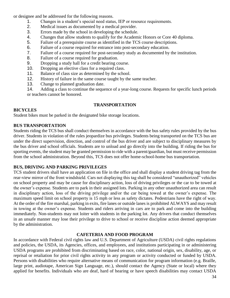or designee and be addressed for the following reasons.

- 1. Changes in a student's special need status, IEP or resource requirements.
- 2. Medical issues as documented by a medical provider.
- 3. Errors made by the school in developing the schedule.
- 4. Changes that allow students to qualify for the Academic Honors or Core 40 diploma.
- 5. Failure of a prerequisite course as identified in the TCS course descriptions.
- 6. Failure of a course required for entrance into post-secondary education.
- 7. Failure of a course required for post-secondary study as documented by the institution.
- 8. Failure of a course required for graduation.
- 9. Dropping a study hall for a credit bearing course.
- 10. Dropping an elective class for a required class.
- 11. Balance of class size as determined by the school.
- 12. History of failure in the same course taught by the same teacher.
- 13. Change to planned graduation date.

14. Adding a class to continue the sequence of a year-long course. Requests for specific lunch periods or teachers cannot be honored.

## **TRANSPORTATION**

#### **BICYCLES**

Student bikes must be parked in the designated bike storage locations.

## **BUS TRANSPORTATION**

Students riding the TCS bus shall conduct themselves in accordance with the bus safety rules provided by the bus driver. Students in violation of the rules jeopardize bus privileges. Students being transported on the TCS bus are under the direct supervision, direction, and control of the bus driver and are subject to disciplinary measures by the bus driver and school officials. Students are to unload and go directly into the building. If riding the bus for sporting events, the student may be granted permission to ride with a parent/guardian, but must receive permission from the school administration. Beyond this, TCS does not offer home-school-home bus transportation.

## **BUS, DRIVING AND PARKING PRIVILEGES**

TCS student drivers shall have an application on file in the office and shall display a student driving tag from the rear-view mirror of the front windshield. Cars not displaying this tag shall be considered "unauthorized" vehicles on school property and may be cause for disciplinary action, loss of driving privileges or the car to be towed at the owner's expense. Students are to park in their assigned lots. Parking in any other unauthorized area can result in disciplinary action, loss of the driving privilege and/or the car being towed at the owner's expense. The maximum speed limit on school property is 15 mph or less as safety dictates. Pedestrians have the right of way. At the order of the fire marshal, parking in exits, fire lanes or outside lanes is prohibited ALWAYS and may result in towing at the owner's expense. Students and riders arriving in cars are to park and come into the building immediately. Non-students may not loiter with students in the parking lot. Any drivers that conduct themselves in an unsafe manner may lose their privilege to drive to school or receive discipline action deemed appropriate by the administration.

## **CAFETERIA AND FOOD PROGRAM**

In accordance with Federal civil rights law and U.S. Department of Agriculture (USDA) civil rights regulations and policies, the USDA, its Agencies, offices, and employees, and institutions participating in or administering USDA programs are prohibited from discriminating based on race, color, national origin, sex, disability, age, or reprisal or retaliation for prior civil rights activity in any program or activity conducted or funded by USDA. Persons with disabilities who require alternative means of communication for program information (e.g. Braille, large print, audiotape, American Sign Language, etc.), should contact the Agency (State or local) where they applied for benefits. Individuals who are deaf, hard of hearing or have speech disabilities may contact USDA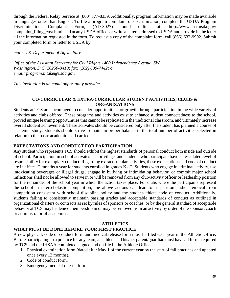through the Federal Relay Service at (800) 877-8339. Additionally, program information may be made available in languages other than English. To file a program complaint of discrimination, complete the USDA Program Discrimination Complaint Form, (AD-3027) found online at: http://www.ascr.usda.gov/ complaint filing cust.html, and at any USDA office, or write a letter addressed to USDA and provide in the letter all the information requested in the form. To request a copy of the complaint form, call (866) 632-9992. Submit your completed form or letter to USDA by:

*mail: U.S. Department of Agriculture*

*Office of the Assistant Secretary for Civil Rights 1400 Independence Avenue, SW Washington, D.C. 20250-9410; fax: (202) 690-7442; or email: program.intake@usda.gov.*

*This institution is an equal opportunity provider.*

### **CO-CURRICULAR & EXTRA-CURRICULAR STUDENT ACTIVITIES, CLUBS & ORGANIZATIONS**

Students at TCS are encouraged to consider opportunities for growth through participation in the wide variety of activities and clubs offered. These programs and activities exist to enhance student connectedness to the school, proved unique learning opportunities that cannot be replicated in the traditional classroom, and ultimately increase overall student achievement. These activates should be considered only after the student has planned a course of academic study. Students should strive to maintain proper balance in the total number of activities selected in relation to the basic academic load carried.

# **EXPECTATIONS AND CONDUCT FOR PARTICIPATION**

Any student who represents TCS should exhibit the highest standards of personal conduct both inside and outside of school. Participation in school activates is a privilege, and students who participate have an escalated level of responsibility for exemplary conduct. Regarding extracurricular activities, these expectations and code of conduct are in effect 12 months a year for students enrolled in grades K-12. Students who engage in criminal activity, use intoxicating beverages or illegal drugs, engage in bullying or intimidating behavior, or commit major school infractions shall not be allowed to serve in or will be removed from any club/activity officer or leadership position for the remainder of the school year in which the action takes place. For clubs where the participants represent the school in interscholastic competition, the above actions can lead to suspension and/or removal from competition consistent with school discipline policy and the student-athlete code of conduct. Additionally, students failing to consistently maintain passing grades and acceptable standards of conduct as outlined in organizational charters or contracts as set by rules of sponsors or coaches, or by the general standard of acceptable behavior at TCS may be denied membership in or may be removed from an activity by order of the sponsor, coach or administrator of academics.

## **ATHLETICS**

# **WHAT MUST BE DONE BEFORE YOUR FIRST PRACTICE**

A new physical, code of conduct form and medical release form must be filed each year in the Athletic Office. Before participating in a practice for any team, an athlete and his/her parent/guardian must have all forms required by TCS and the IHSAA completed, signed and on file in the Athletic Office:

- 1. Physical examination form (dated after May 1 of the current year by the start of fall practices and updated once every 12 months).
- 2. Code of conduct form.
- 3. Emergency medical release form.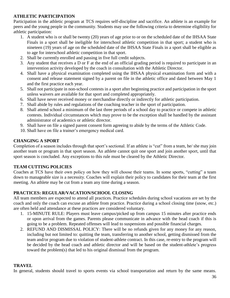# **ATHLETIC PARTICIPATION**

Participation in the athletic program at TCS requires self-discipline and sacrifice. An athlete is an example for peers and the young people in the community. Students may use the following criteria to determine eligibility for athletic participation:

- 1. A student who is or shall be twenty (20) years of age prior to or on the scheduled date of the IHSAA State Finals in a sport shall be ineligible for interschool athletic competition in that sport; a student who is nineteen (19) years of age on the scheduled date of the IHSAA State Finals in a sport shall be eligible as to age for interschool athletic competition in that sport.
- 2. Shall be currently enrolled and passing in five full credit subjects.
- 3. Any student that receives a D or F at the end of an official grading period is required to participate in an intervention activity developed by the coach in consultation with the Athletic Director.
- 4. Shall have a physical examination completed using the IHSAA physical examination form and with a consent and release statement signed by a parent on file in the athletic office and dated between May 1 and the first practice each year.
- 5. Shall not participate in non-school contests in a sport after beginning practice and participation in the sport unless waivers are available for that sport and completed appropriately.
- 6. Shall have never received money or merchandise directly or indirectly for athletic participation.
- 7. Shall abide by rules and regulations of the coaching teacher in the sport of participation.
- 8. Shall attend school a minimum of the last three periods of a school day to practice or compete in athletic contests. Individual circumstances which may prove to be the exception shall be handled by the assistant administrator of academics or athletic director.
- 9. Shall have on file a signed parent consent form agreeing to abide by the terms of the Athletic Code.
- 10. Shall have on file a trainer's emergency medical card.

# **CHANGING A SPORT**

Completion of a season includes through that sport's sectional. If an athlete is "cut" from a team, he/ she may join another team or program in that sport season. An athlete cannot quit one sport and join another sport, until that sport season is concluded. Any exceptions to this rule must be cleared by the Athletic Director.

# **TEAM CUTTING POLICIES**

Coaches at TCS have their own policy on how they will choose their teams. In some sports, "cutting" a team down to manageable size is a necessity. Coaches will explain their policy to candidates for their team at the first meeting. An athlete may be cut from a team any time during a season.

# **PRACTICES: REGULAR/VACATION/SCHOOL CLOSING**

All team members are expected to attend all practices. Practice schedules during school vacations are set by the coach and only the coach can excuse an athlete from practice. Practice during a school closing time (snow, etc.) are often held and attendance at these practices are considered voluntary.

- 1. 15-MINUTE RULE: Players must leave campus/picked up from campus 15 minutes after practice ends or upon arrival from the games. Parents please communicate in advance with the head coach if this is going to be a problem. Repeated offenses will lead to suspensions and possible financial charges.
- 2. REFUND AND DISMISSAL POLICY: There will be no refunds given for any money for any reason, including but not limited to: quitting the team, transferring to another school, getting dismissed from the team and/or program due to violation of student-athlete contract. In this case, re-entry to the program will be decided by the head coach and athletic director and will be based on the student-athlete's progress toward the problem(s) that led to his original dismissal from the program.

## **TRAVEL**

In general, students should travel to sports events via school transportation and return by the same means.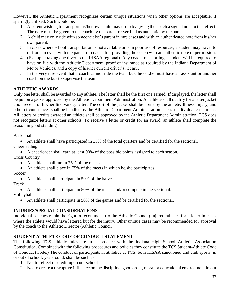However, the Athletic Department recognizes certain unique situations when other options are acceptable, if sparingly utilized. Such would be:

- 1. A parent wishing to transport his/her own child may do so by giving the coach a signed note to that effect. The note must be given to the coach by the parent or verified as authentic by the parent.
- 2. A child may only ride with someone else's parent in rare cases and with an authenticated note from his/her own parent.
- 3. In cases where school transportation is not available or is in poor use of resources, a student may travel to or from an event with the parent or coach after providing the coach with an authentic note of permission.
- 4. (Example: taking one diver to the IHSAA regional). Any coach transporting a student will be required to have on file with the Athletic Department, proof of insurance as required by the Indiana Department of Motor Vehicles, and a copy of his/her current driver's license.
- 5. In the very rare event that a coach cannot ride the team bus, he or she must have an assistant or another coach on the bus to supervise the team.

# **ATHLETIC AWARDS**

Only one letter shall be awarded to any athlete. The letter shall be the first one earned. If displayed, the letter shall be put on a jacket approved by the Athletic Department Administration. An athlete shall qualify for a letter jacket upon receipt of his/her first varsity letter. The cost of the jacket shall be borne by the athlete. Illness, injury, and other circumstances shall be handled by the Athletic Department Administration as each individual case arises. All letters or credits awarded an athlete shall be approved by the Athletic Department Administration. TCS does not recognize letters at other schools. To receive a letter or credit for an award, an athlete shall complete the season in good standing.

Basketball

• An athlete shall have participated in 33% of the total quarters and be certified for the sectional. Cheerleading

• A cheerleader shall earn at least 90% of the possible points assigned to each season.

Cross Country

- An athlete shall run in 75% of the meets.
- An athlete shall place in 75% of the meets in which he/she participates.

Soccer

• An athlete shall participate in 50% of the halves.

Track

• An athlete shall participate in 50% of the meets and/or compete in the sectional.

Volleyball

• An athlete shall participate in 50% of the games and be certified for the sectional.

# **INJURIES/SPECIAL CONSIDERATIONS**

Individual coaches retain the right to recommend (to the Athletic Council) injured athletes for a letter in cases where the athlete would have lettered but for the injury. Other unique cases may be recommended for approval by the coach to the Athletic Director (Athletic Council).

# **STUDENT-ATHLETE CODE OF CONDUCT STATEMENT**

The following TCS athletic rules are in accordance with the Indiana High School Athletic Association Constitution. Combined with the following procedures and policies they constitute the TCS Student-Athlete Code of Conduct (Code.) The conduct of participants in athletics at TCS, both IHSAA sanctioned and club sports, in or out of school, year-round, shall be such as:

- 1. Not to reflect discredit upon our school
- 2. Not to create a disruptive influence on the discipline, good order, moral or educational environment in our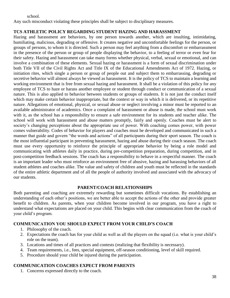school.

Any such misconduct violating these principles shall be subject to disciplinary measures.

# **TCS ATHLETIC POLICY REGARDING STUDENT HAZING AND HARASSMENT**

Hazing and harassment are behaviors, by one person towards another, which are insulting, intimidating, humiliating, malicious, degrading or offensive. It creates negative and uncomfortable feelings for the person, or groups of persons, to whom it is directed. Such a person may feel anything from a discomfort or embarrassment in the presence of the person or group of people displaying the behavior, to a feeling of terror or even fear for their safety. Hazing and harassment can take many forms whether physical, verbal, sexual or emotional, and can involve a combination of these elements. Sexual hazing or harassment is a form of sexual discrimination under both Title VII of the Civil Rights Act and Title IX of the Educational Amendments Act of 1972. Hazing, or initiation rites, which single a person or group of people out and subject them to embarrassing, degrading or secretive behavior will almost always be viewed as harassment. It is the policy of TCS to maintain a learning and working environment that is free from sexual hazing and harassment. It shall be a violation of this policy for any employee of TCS to haze or harass another employee or student through conduct or communication of a sexual nature. This is also applied to behavior between students or groups of students. It is not just the conduct itself which may make certain behavior inappropriate, but the context or way in which it is delivered, or its repetitive nature. Allegations of emotional, physical, or sexual abuse or neglect involving a minor must be reported to an available administrator of academics. Once a complaint of harassment or abuse is made, the school must work with it, as the school has a responsibility to ensure a safe environment for its students and teacher alike. The school will work with harassment and abuse matters promptly, fairly and openly. Coaches must be alert to society's changing perceptions about the appropriate use of power. With coaching comes power, with power comes vulnerability. Codes of behavior for players and coaches must be developed and communicated in such a manner that guide and govern "the words and actions" of all participants during their sport season. The coach is the most influential participant in preventing harassment, hazing and abuse during their coach season. The coach must use every opportunity to reinforce the principle of appropriate behavior by being a role model and communicating with athletes daily in practice, during pre-competition preparation, during competition, and in post-competition feedback sessions. The coach has a responsibility to behave in a respectful manner. The coach is an important leader who must reinforce an environment free of abusive, hazing and harassing behaviors of all student athletes and coaches alike. The value and safety of children and youth must be reflected in the standards of the entire athletic department and of all the people of authority involved and associated with the advocacy of our students.

## **PARENT/COACH RELATIONSHIPS**

Both parenting and coaching are extremely rewarding but sometimes difficult vocations. By establishing an understanding of each other's positions, we are better able to accept the actions of the other and provide greater benefit to children. As parents, when your children become involved in our program, you have a right to understand what expectations are placed on your child. This begins with clear communication from the coach of your child's program.

## **COMMUNICATION YOU SHOULD EXPECT FROM YOUR CHILD'S COACH**

- 1. Philosophy of the coach.
- 2. Expectations the coach has for your child as well as all the players on the squad (i.e. what is your child's role on the team).
- 3. Locations and times of all practices and contests (realizing that flexibility is necessary).
- 4. Team requirements, i.e., fees, special equipment, off-season conditioning, level of skill required.
- 5. Procedure should your child be injured during the participation.

## **COMMUNICATION COACHES EXPECT FROM PARENTS**

1. Concerns expressed directly to the coach.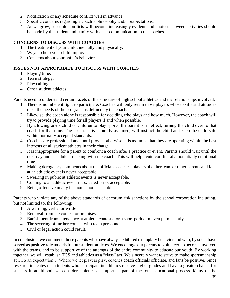- 2. Notification of any schedule conflict well in advance.
- 3. Specific concerns regarding a coach's philosophy and/or expectations.
- 4. As we grow, schedule conflicts will become increasingly evident, and choices between activities should be made by the student and family with clear communication to the coaches.

# **CONCERNS TO DISCUSS WITH COACHES**

- 1. The treatment of your child, mentally and physically.
- 2. Ways to help your child improve.
- 3. Concerns about your child's behavior

# **ISSUES NOT APPROPRIATE TO DISCUSS WITH COACHES**

- 1. Playing time.
- 2. Team strategy.
- 3. Play calling.
- 4. Other student athletes.

Parents need to understand certain facets of the structure of high school athletics and the relationships involved.

- 1. There is no inherent right to participate. Coaches will only retain those players whose skills and attitudes meet the needs of the program, as defined by the coach.
- 2. Likewise, the coach alone is responsible for deciding who plays and how much. However, the coach will try to provide playing time for all players if and when possible.
- 3. By allowing one's child or children to play sports, the parent is, in effect, turning the child over to that coach for that time. The coach, as is naturally assumed, will instruct the child and keep the child safe within normally accepted standards.
- 4. Coaches are professional and, until proven otherwise, it is assumed that they are operating within the best interests of all student athletes in their charge.
- 5. It is inappropriate for a parent to confront a coach after a practice or event. Parents should wait until the next day and schedule a meeting with the coach. This will help avoid conflict at a potentially emotional time.
- 6. Making derogatory comments about the officials, coaches, players of either team or other parents and fans at an athletic event is never acceptable.
- 7. Swearing in public at athletic events is never acceptable.
- 8. Coming to an athletic event intoxicated is not acceptable.
- 9. Being offensive in any fashion is not acceptable.

Parents who violate any of the above standards of decorum risk sanctions by the school corporation including, but not limited to, the following:

- 1. A warning, verbal or written.
- 2. Removal from the contest or premises.
- 3. Banishment from attendance at athletic contests for a short period or even permanently.
- 4. The severing of further contact with team personnel.
- 5. Civil or legal action could result.

In conclusion, we commend those parents who have always exhibited exemplary behavior and who, by such, have served as positive role models for our student-athletes. We encourage our parents to volunteer, to become involved with the teams, and to be supportive of the attempts of the entire community to educate our youth. By working together, we will establish TCS and athletics as a "class" act. We sincerely want to strive to make sportsmanship at TCS an expectation… Where we let players play, coaches coach officials officiate, and fans be positive. Since research indicates that students who participate in athletics receive higher grades and have a greater chance for success in adulthood, we consider athletics an important part of the total educational process. Many of the